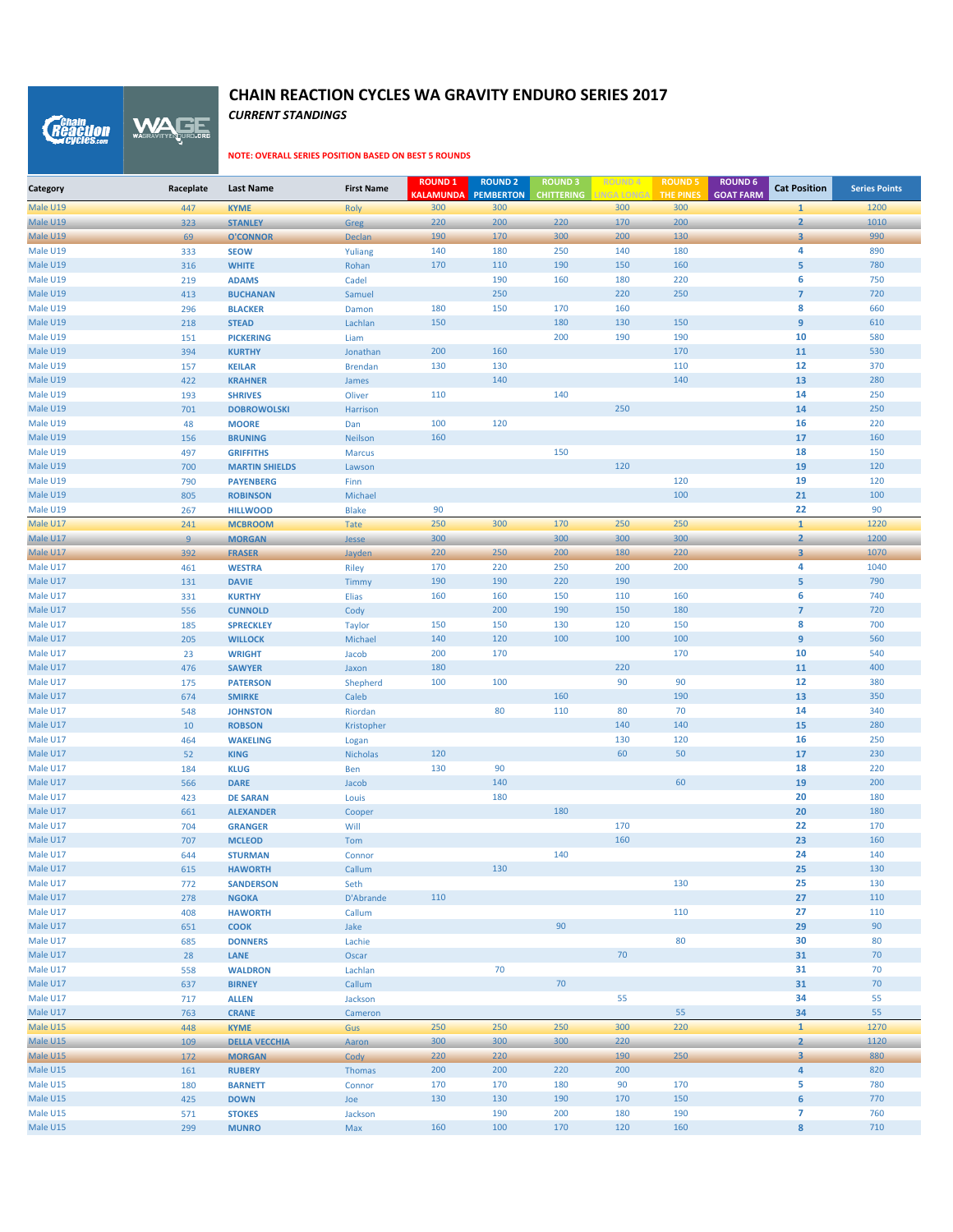*CURRENT STANDINGS* WAGE

*Reaction* 

| 300<br>300<br>300<br>300<br>1200<br>Male U19<br>$\mathbf{1}$<br>447<br><b>KYME</b><br><b>Roly</b><br>Male U19<br>220<br>200<br>220<br>170<br>200<br>$\overline{2}$<br>1010<br>323<br><b>STANLEY</b><br>Greg<br>3<br>990<br>Male U19<br>69<br><b>O'CONNOR</b><br><b>Declan</b><br>190<br>170<br>300<br>200<br>130<br>Male U19<br>140<br>180<br>250<br>140<br>180<br>4<br>890<br>333<br><b>SEOW</b><br>Yuliang<br>5<br>Male U19<br><b>WHITE</b><br>170<br>110<br>190<br>150<br>160<br>780<br>316<br>Rohan<br>6<br>Male U19<br>190<br>160<br>180<br>220<br>750<br>219<br><b>ADAMS</b><br>Cadel<br>250<br>$\overline{7}$<br>Male U19<br>220<br>250<br>720<br>413<br><b>BUCHANAN</b><br>Samuel<br>8<br>Male U19<br>180<br>150<br>170<br>160<br>660<br>296<br><b>BLACKER</b><br>Damon<br>$\overline{9}$<br>Male U19<br>150<br>180<br>130<br>150<br>610<br>218<br><b>STEAD</b><br>Lachlan<br>Male U19<br>200<br>190<br>190<br>10<br>580<br>151<br><b>PICKERING</b><br>Liam<br>11<br>Male U19<br>394<br>200<br>160<br>170<br>530<br><b>KURTHY</b><br>Jonathan<br>Male U19<br>130<br>130<br>110<br>12<br>370<br><b>KEILAR</b><br><b>Brendan</b><br>157<br>140<br>140<br>Male U19<br>422<br>13<br>280<br><b>KRAHNER</b><br>James<br>14<br>Male U19<br>110<br>140<br>250<br><b>SHRIVES</b><br>Oliver<br>193<br>Male U19<br>250<br>14<br>250<br>701<br><b>DOBROWOLSKI</b><br>Harrison<br>100<br>120<br>16<br>220<br>Male U19<br>48<br><b>MOORE</b><br>Dan<br>17<br>Male U19<br>156<br>160<br>160<br><b>BRUNING</b><br>Neilson<br>150<br>Male U19<br>18<br>150<br>497<br><b>GRIFFITHS</b><br><b>Marcus</b><br>120<br>19<br>120<br>Male U19<br>700<br><b>MARTIN SHIELDS</b><br>Lawson<br>Male U19<br>120<br>19<br>120<br>790<br><b>PAYENBERG</b><br>Finn<br>100<br>21<br>100<br>Male U19<br>805<br><b>ROBINSON</b><br>Michael<br>90<br>22<br>90<br>Male U19<br>267<br><b>HILLWOOD</b><br><b>Blake</b><br>$\mathbf{1}$<br>250<br>250<br>Male U17<br>250<br>300<br>170<br>1220<br>241<br><b>MCBROOM</b><br><b>Tate</b><br>300<br>300<br>300<br>300<br>$\overline{2}$<br>1200<br>Male U17<br>9<br><b>MORGAN</b><br>Jesse<br>$\overline{\mathbf{3}}$<br>Male U17<br>220<br>250<br>200<br>180<br>220<br>1070<br>392<br><b>FRASER</b><br>Jayden<br>4<br>1040<br>Male U17<br>170<br>220<br>250<br>200<br>200<br>461<br>Riley<br><b>WESTRA</b><br>190<br>5<br>790<br>Male U17<br>190<br>190<br>220<br>131<br><b>DAVIE</b><br>Timmy<br>6<br>Male U17<br>160<br>160<br>160<br>740<br>331<br><b>KURTHY</b><br>Elias<br>150<br>110<br>$\overline{7}$<br>Male U17<br>200<br>190<br>150<br>180<br>720<br>556<br><b>CUNNOLD</b><br>Cody<br>8<br>Male U17<br>150<br>150<br>130<br>120<br>150<br>700<br>185<br><b>SPRECKLEY</b><br><b>Taylor</b><br>$\boldsymbol{9}$<br>140<br>120<br>100<br>100<br>560<br>Male U17<br>100<br>205<br><b>WILLOCK</b><br>Michael<br>Male U17<br>200<br>170<br>170<br>10<br>540<br>23<br><b>WRIGHT</b><br>Jacob<br>180<br>220<br>Male U17<br>11<br>400<br>476<br><b>SAWYER</b><br>Jaxon<br>12<br>Male U17<br>100<br>100<br>90<br>90<br>380<br>175<br><b>PATERSON</b><br>Shepherd<br>160<br>Male U17<br>Caleb<br>190<br>13<br>350<br>674<br><b>SMIRKE</b><br>14<br>Male U17<br>Riordan<br>80<br>110<br>80<br>70<br>340<br>548<br><b>JOHNSTON</b><br>Male U17<br>140<br>140<br>15<br>280<br>10<br><b>ROBSON</b><br>Kristopher<br>Male U17<br>130<br>120<br>16<br>250<br>464<br><b>WAKELING</b><br>Logan<br>120<br>60<br>17<br>Male U17<br>52<br>50<br>230<br><b>KING</b><br><b>Nicholas</b><br>90<br>130<br>18<br>220<br>Male U17<br>184<br><b>KLUG</b><br>Ben<br>140<br>60<br>Male U17<br>19<br>200<br>566<br><b>DARE</b><br>Jacob<br>20<br>Male U17<br>180<br>180<br>423<br><b>DE SARAN</b><br>Louis<br>180<br>20<br>Male U17<br>180<br>661<br><b>ALEXANDER</b><br>Cooper<br>Male U17<br>170<br>22<br>170<br>704<br><b>GRANGER</b><br>Will<br>23<br>160<br>Male U17<br>160<br>707<br><b>MCLEOD</b><br>Tom<br>Male U17<br>140<br>140<br>24<br>644<br><b>STURMAN</b><br>Connor<br>130<br>25<br>Male U17<br>Callum<br>130<br>615<br><b>HAWORTH</b><br>25<br>Male U17<br>130<br>130<br>772<br>Seth<br><b>SANDERSON</b><br>Male U17<br>27<br>110<br>278<br>D'Abrande<br>110<br><b>NGOKA</b><br>Male U17<br>110<br>27<br>110<br>408<br><b>HAWORTH</b><br>Callum<br>Male U17<br>90<br>29<br>90<br>651<br>Jake<br><b>COOK</b><br>Male U17<br>80<br>Lachie<br>30<br>80<br>685<br><b>DONNERS</b><br>Male U17<br>70<br>31<br>70<br>28<br>LANE<br>Oscar<br>70<br>Male U17<br>31<br>70<br>558<br><b>WALDRON</b><br>Lachlan<br>70<br>Male U17<br>70<br>637<br><b>BIRNEY</b><br>Callum<br>31<br>Male U17<br>55<br>34<br>55<br>717<br><b>ALLEN</b><br>Jackson<br>55<br>Male U17<br>55<br>34<br>763<br><b>CRANE</b><br>Cameron<br>220<br>$\mathbf{1}$<br>Male U15<br>250<br>250<br>250<br>300<br>1270<br>448<br>Gus<br><b>KYME</b><br>$\overline{2}$<br>Male U15<br>300<br>300<br>300<br>220<br>1120<br>109<br><b>DELLA VECCHIA</b><br>Aaron<br>220<br>Male U15<br>220<br>190<br>250<br>$\overline{\mathbf{3}}$<br>880<br>172<br><b>MORGAN</b><br>Cody<br>$\overline{a}$<br>Male U15<br>161<br>200<br>200<br>220<br>200<br>820<br><b>RUBERY</b><br>Thomas<br>Male U15<br>5<br>170<br>170<br>180<br>90<br>170<br>780<br><b>BARNETT</b><br>Connor<br>180<br>Male U15<br>130<br>190<br>170<br>150<br>$\boldsymbol{6}$<br>770<br>425<br><b>DOWN</b><br>Joe<br>130<br>$\overline{7}$<br>Male U15<br>190<br>200<br>180<br>190<br>760<br>571<br><b>STOKES</b><br>Jackson<br>Male U15<br>160<br>100<br>120<br>$\pmb{8}$<br>710<br>170<br>160<br>299<br><b>MUNRO</b><br>Max | Category | Raceplate | <b>Last Name</b> | <b>First Name</b> | <b>ROUND 1</b><br><b>KALAMUNDA</b> | <b>ROUND 2</b><br><b>PEMBERTON</b> | <b>ROUND3</b><br><b>CHITTERING</b> | LINGA LONGA | <b>ROUND!</b><br><b>THE PINES</b> | <b>ROUND 6</b><br><b>GOAT FARM</b> | <b>Cat Position</b> | <b>Series Points</b> |
|-------------------------------------------------------------------------------------------------------------------------------------------------------------------------------------------------------------------------------------------------------------------------------------------------------------------------------------------------------------------------------------------------------------------------------------------------------------------------------------------------------------------------------------------------------------------------------------------------------------------------------------------------------------------------------------------------------------------------------------------------------------------------------------------------------------------------------------------------------------------------------------------------------------------------------------------------------------------------------------------------------------------------------------------------------------------------------------------------------------------------------------------------------------------------------------------------------------------------------------------------------------------------------------------------------------------------------------------------------------------------------------------------------------------------------------------------------------------------------------------------------------------------------------------------------------------------------------------------------------------------------------------------------------------------------------------------------------------------------------------------------------------------------------------------------------------------------------------------------------------------------------------------------------------------------------------------------------------------------------------------------------------------------------------------------------------------------------------------------------------------------------------------------------------------------------------------------------------------------------------------------------------------------------------------------------------------------------------------------------------------------------------------------------------------------------------------------------------------------------------------------------------------------------------------------------------------------------------------------------------------------------------------------------------------------------------------------------------------------------------------------------------------------------------------------------------------------------------------------------------------------------------------------------------------------------------------------------------------------------------------------------------------------------------------------------------------------------------------------------------------------------------------------------------------------------------------------------------------------------------------------------------------------------------------------------------------------------------------------------------------------------------------------------------------------------------------------------------------------------------------------------------------------------------------------------------------------------------------------------------------------------------------------------------------------------------------------------------------------------------------------------------------------------------------------------------------------------------------------------------------------------------------------------------------------------------------------------------------------------------------------------------------------------------------------------------------------------------------------------------------------------------------------------------------------------------------------------------------------------------------------------------------------------------------------------------------------------------------------------------------------------------------------------------------------------------------------------------------------------------------------------------------------------------------------------------------------------------------------------------------------------------------------------------------------------------------------------------------------------------------------------------------------------------------------------------------------------------------------------------------------------------------------------------------------------------------------------------------------------------------------------------------------------------------------------------------------------------------------------------------------------------------------------------------------------------------------------------------------------------------------------------------------------------------------------------------------------------------------------------------------------------------------------------------------------------------------------------------------------------------------------------------------------------------|----------|-----------|------------------|-------------------|------------------------------------|------------------------------------|------------------------------------|-------------|-----------------------------------|------------------------------------|---------------------|----------------------|
|                                                                                                                                                                                                                                                                                                                                                                                                                                                                                                                                                                                                                                                                                                                                                                                                                                                                                                                                                                                                                                                                                                                                                                                                                                                                                                                                                                                                                                                                                                                                                                                                                                                                                                                                                                                                                                                                                                                                                                                                                                                                                                                                                                                                                                                                                                                                                                                                                                                                                                                                                                                                                                                                                                                                                                                                                                                                                                                                                                                                                                                                                                                                                                                                                                                                                                                                                                                                                                                                                                                                                                                                                                                                                                                                                                                                                                                                                                                                                                                                                                                                                                                                                                                                                                                                                                                                                                                                                                                                                                                                                                                                                                                                                                                                                                                                                                                                                                                                                                                                                                                                                                                                                                                                                                                                                                                                                                                                                                                                                                                                                 |          |           |                  |                   |                                    |                                    |                                    |             |                                   |                                    |                     |                      |
|                                                                                                                                                                                                                                                                                                                                                                                                                                                                                                                                                                                                                                                                                                                                                                                                                                                                                                                                                                                                                                                                                                                                                                                                                                                                                                                                                                                                                                                                                                                                                                                                                                                                                                                                                                                                                                                                                                                                                                                                                                                                                                                                                                                                                                                                                                                                                                                                                                                                                                                                                                                                                                                                                                                                                                                                                                                                                                                                                                                                                                                                                                                                                                                                                                                                                                                                                                                                                                                                                                                                                                                                                                                                                                                                                                                                                                                                                                                                                                                                                                                                                                                                                                                                                                                                                                                                                                                                                                                                                                                                                                                                                                                                                                                                                                                                                                                                                                                                                                                                                                                                                                                                                                                                                                                                                                                                                                                                                                                                                                                                                 |          |           |                  |                   |                                    |                                    |                                    |             |                                   |                                    |                     |                      |
|                                                                                                                                                                                                                                                                                                                                                                                                                                                                                                                                                                                                                                                                                                                                                                                                                                                                                                                                                                                                                                                                                                                                                                                                                                                                                                                                                                                                                                                                                                                                                                                                                                                                                                                                                                                                                                                                                                                                                                                                                                                                                                                                                                                                                                                                                                                                                                                                                                                                                                                                                                                                                                                                                                                                                                                                                                                                                                                                                                                                                                                                                                                                                                                                                                                                                                                                                                                                                                                                                                                                                                                                                                                                                                                                                                                                                                                                                                                                                                                                                                                                                                                                                                                                                                                                                                                                                                                                                                                                                                                                                                                                                                                                                                                                                                                                                                                                                                                                                                                                                                                                                                                                                                                                                                                                                                                                                                                                                                                                                                                                                 |          |           |                  |                   |                                    |                                    |                                    |             |                                   |                                    |                     |                      |
|                                                                                                                                                                                                                                                                                                                                                                                                                                                                                                                                                                                                                                                                                                                                                                                                                                                                                                                                                                                                                                                                                                                                                                                                                                                                                                                                                                                                                                                                                                                                                                                                                                                                                                                                                                                                                                                                                                                                                                                                                                                                                                                                                                                                                                                                                                                                                                                                                                                                                                                                                                                                                                                                                                                                                                                                                                                                                                                                                                                                                                                                                                                                                                                                                                                                                                                                                                                                                                                                                                                                                                                                                                                                                                                                                                                                                                                                                                                                                                                                                                                                                                                                                                                                                                                                                                                                                                                                                                                                                                                                                                                                                                                                                                                                                                                                                                                                                                                                                                                                                                                                                                                                                                                                                                                                                                                                                                                                                                                                                                                                                 |          |           |                  |                   |                                    |                                    |                                    |             |                                   |                                    |                     |                      |
|                                                                                                                                                                                                                                                                                                                                                                                                                                                                                                                                                                                                                                                                                                                                                                                                                                                                                                                                                                                                                                                                                                                                                                                                                                                                                                                                                                                                                                                                                                                                                                                                                                                                                                                                                                                                                                                                                                                                                                                                                                                                                                                                                                                                                                                                                                                                                                                                                                                                                                                                                                                                                                                                                                                                                                                                                                                                                                                                                                                                                                                                                                                                                                                                                                                                                                                                                                                                                                                                                                                                                                                                                                                                                                                                                                                                                                                                                                                                                                                                                                                                                                                                                                                                                                                                                                                                                                                                                                                                                                                                                                                                                                                                                                                                                                                                                                                                                                                                                                                                                                                                                                                                                                                                                                                                                                                                                                                                                                                                                                                                                 |          |           |                  |                   |                                    |                                    |                                    |             |                                   |                                    |                     |                      |
|                                                                                                                                                                                                                                                                                                                                                                                                                                                                                                                                                                                                                                                                                                                                                                                                                                                                                                                                                                                                                                                                                                                                                                                                                                                                                                                                                                                                                                                                                                                                                                                                                                                                                                                                                                                                                                                                                                                                                                                                                                                                                                                                                                                                                                                                                                                                                                                                                                                                                                                                                                                                                                                                                                                                                                                                                                                                                                                                                                                                                                                                                                                                                                                                                                                                                                                                                                                                                                                                                                                                                                                                                                                                                                                                                                                                                                                                                                                                                                                                                                                                                                                                                                                                                                                                                                                                                                                                                                                                                                                                                                                                                                                                                                                                                                                                                                                                                                                                                                                                                                                                                                                                                                                                                                                                                                                                                                                                                                                                                                                                                 |          |           |                  |                   |                                    |                                    |                                    |             |                                   |                                    |                     |                      |
|                                                                                                                                                                                                                                                                                                                                                                                                                                                                                                                                                                                                                                                                                                                                                                                                                                                                                                                                                                                                                                                                                                                                                                                                                                                                                                                                                                                                                                                                                                                                                                                                                                                                                                                                                                                                                                                                                                                                                                                                                                                                                                                                                                                                                                                                                                                                                                                                                                                                                                                                                                                                                                                                                                                                                                                                                                                                                                                                                                                                                                                                                                                                                                                                                                                                                                                                                                                                                                                                                                                                                                                                                                                                                                                                                                                                                                                                                                                                                                                                                                                                                                                                                                                                                                                                                                                                                                                                                                                                                                                                                                                                                                                                                                                                                                                                                                                                                                                                                                                                                                                                                                                                                                                                                                                                                                                                                                                                                                                                                                                                                 |          |           |                  |                   |                                    |                                    |                                    |             |                                   |                                    |                     |                      |
|                                                                                                                                                                                                                                                                                                                                                                                                                                                                                                                                                                                                                                                                                                                                                                                                                                                                                                                                                                                                                                                                                                                                                                                                                                                                                                                                                                                                                                                                                                                                                                                                                                                                                                                                                                                                                                                                                                                                                                                                                                                                                                                                                                                                                                                                                                                                                                                                                                                                                                                                                                                                                                                                                                                                                                                                                                                                                                                                                                                                                                                                                                                                                                                                                                                                                                                                                                                                                                                                                                                                                                                                                                                                                                                                                                                                                                                                                                                                                                                                                                                                                                                                                                                                                                                                                                                                                                                                                                                                                                                                                                                                                                                                                                                                                                                                                                                                                                                                                                                                                                                                                                                                                                                                                                                                                                                                                                                                                                                                                                                                                 |          |           |                  |                   |                                    |                                    |                                    |             |                                   |                                    |                     |                      |
|                                                                                                                                                                                                                                                                                                                                                                                                                                                                                                                                                                                                                                                                                                                                                                                                                                                                                                                                                                                                                                                                                                                                                                                                                                                                                                                                                                                                                                                                                                                                                                                                                                                                                                                                                                                                                                                                                                                                                                                                                                                                                                                                                                                                                                                                                                                                                                                                                                                                                                                                                                                                                                                                                                                                                                                                                                                                                                                                                                                                                                                                                                                                                                                                                                                                                                                                                                                                                                                                                                                                                                                                                                                                                                                                                                                                                                                                                                                                                                                                                                                                                                                                                                                                                                                                                                                                                                                                                                                                                                                                                                                                                                                                                                                                                                                                                                                                                                                                                                                                                                                                                                                                                                                                                                                                                                                                                                                                                                                                                                                                                 |          |           |                  |                   |                                    |                                    |                                    |             |                                   |                                    |                     |                      |
|                                                                                                                                                                                                                                                                                                                                                                                                                                                                                                                                                                                                                                                                                                                                                                                                                                                                                                                                                                                                                                                                                                                                                                                                                                                                                                                                                                                                                                                                                                                                                                                                                                                                                                                                                                                                                                                                                                                                                                                                                                                                                                                                                                                                                                                                                                                                                                                                                                                                                                                                                                                                                                                                                                                                                                                                                                                                                                                                                                                                                                                                                                                                                                                                                                                                                                                                                                                                                                                                                                                                                                                                                                                                                                                                                                                                                                                                                                                                                                                                                                                                                                                                                                                                                                                                                                                                                                                                                                                                                                                                                                                                                                                                                                                                                                                                                                                                                                                                                                                                                                                                                                                                                                                                                                                                                                                                                                                                                                                                                                                                                 |          |           |                  |                   |                                    |                                    |                                    |             |                                   |                                    |                     |                      |
|                                                                                                                                                                                                                                                                                                                                                                                                                                                                                                                                                                                                                                                                                                                                                                                                                                                                                                                                                                                                                                                                                                                                                                                                                                                                                                                                                                                                                                                                                                                                                                                                                                                                                                                                                                                                                                                                                                                                                                                                                                                                                                                                                                                                                                                                                                                                                                                                                                                                                                                                                                                                                                                                                                                                                                                                                                                                                                                                                                                                                                                                                                                                                                                                                                                                                                                                                                                                                                                                                                                                                                                                                                                                                                                                                                                                                                                                                                                                                                                                                                                                                                                                                                                                                                                                                                                                                                                                                                                                                                                                                                                                                                                                                                                                                                                                                                                                                                                                                                                                                                                                                                                                                                                                                                                                                                                                                                                                                                                                                                                                                 |          |           |                  |                   |                                    |                                    |                                    |             |                                   |                                    |                     |                      |
|                                                                                                                                                                                                                                                                                                                                                                                                                                                                                                                                                                                                                                                                                                                                                                                                                                                                                                                                                                                                                                                                                                                                                                                                                                                                                                                                                                                                                                                                                                                                                                                                                                                                                                                                                                                                                                                                                                                                                                                                                                                                                                                                                                                                                                                                                                                                                                                                                                                                                                                                                                                                                                                                                                                                                                                                                                                                                                                                                                                                                                                                                                                                                                                                                                                                                                                                                                                                                                                                                                                                                                                                                                                                                                                                                                                                                                                                                                                                                                                                                                                                                                                                                                                                                                                                                                                                                                                                                                                                                                                                                                                                                                                                                                                                                                                                                                                                                                                                                                                                                                                                                                                                                                                                                                                                                                                                                                                                                                                                                                                                                 |          |           |                  |                   |                                    |                                    |                                    |             |                                   |                                    |                     |                      |
|                                                                                                                                                                                                                                                                                                                                                                                                                                                                                                                                                                                                                                                                                                                                                                                                                                                                                                                                                                                                                                                                                                                                                                                                                                                                                                                                                                                                                                                                                                                                                                                                                                                                                                                                                                                                                                                                                                                                                                                                                                                                                                                                                                                                                                                                                                                                                                                                                                                                                                                                                                                                                                                                                                                                                                                                                                                                                                                                                                                                                                                                                                                                                                                                                                                                                                                                                                                                                                                                                                                                                                                                                                                                                                                                                                                                                                                                                                                                                                                                                                                                                                                                                                                                                                                                                                                                                                                                                                                                                                                                                                                                                                                                                                                                                                                                                                                                                                                                                                                                                                                                                                                                                                                                                                                                                                                                                                                                                                                                                                                                                 |          |           |                  |                   |                                    |                                    |                                    |             |                                   |                                    |                     |                      |
|                                                                                                                                                                                                                                                                                                                                                                                                                                                                                                                                                                                                                                                                                                                                                                                                                                                                                                                                                                                                                                                                                                                                                                                                                                                                                                                                                                                                                                                                                                                                                                                                                                                                                                                                                                                                                                                                                                                                                                                                                                                                                                                                                                                                                                                                                                                                                                                                                                                                                                                                                                                                                                                                                                                                                                                                                                                                                                                                                                                                                                                                                                                                                                                                                                                                                                                                                                                                                                                                                                                                                                                                                                                                                                                                                                                                                                                                                                                                                                                                                                                                                                                                                                                                                                                                                                                                                                                                                                                                                                                                                                                                                                                                                                                                                                                                                                                                                                                                                                                                                                                                                                                                                                                                                                                                                                                                                                                                                                                                                                                                                 |          |           |                  |                   |                                    |                                    |                                    |             |                                   |                                    |                     |                      |
|                                                                                                                                                                                                                                                                                                                                                                                                                                                                                                                                                                                                                                                                                                                                                                                                                                                                                                                                                                                                                                                                                                                                                                                                                                                                                                                                                                                                                                                                                                                                                                                                                                                                                                                                                                                                                                                                                                                                                                                                                                                                                                                                                                                                                                                                                                                                                                                                                                                                                                                                                                                                                                                                                                                                                                                                                                                                                                                                                                                                                                                                                                                                                                                                                                                                                                                                                                                                                                                                                                                                                                                                                                                                                                                                                                                                                                                                                                                                                                                                                                                                                                                                                                                                                                                                                                                                                                                                                                                                                                                                                                                                                                                                                                                                                                                                                                                                                                                                                                                                                                                                                                                                                                                                                                                                                                                                                                                                                                                                                                                                                 |          |           |                  |                   |                                    |                                    |                                    |             |                                   |                                    |                     |                      |
|                                                                                                                                                                                                                                                                                                                                                                                                                                                                                                                                                                                                                                                                                                                                                                                                                                                                                                                                                                                                                                                                                                                                                                                                                                                                                                                                                                                                                                                                                                                                                                                                                                                                                                                                                                                                                                                                                                                                                                                                                                                                                                                                                                                                                                                                                                                                                                                                                                                                                                                                                                                                                                                                                                                                                                                                                                                                                                                                                                                                                                                                                                                                                                                                                                                                                                                                                                                                                                                                                                                                                                                                                                                                                                                                                                                                                                                                                                                                                                                                                                                                                                                                                                                                                                                                                                                                                                                                                                                                                                                                                                                                                                                                                                                                                                                                                                                                                                                                                                                                                                                                                                                                                                                                                                                                                                                                                                                                                                                                                                                                                 |          |           |                  |                   |                                    |                                    |                                    |             |                                   |                                    |                     |                      |
|                                                                                                                                                                                                                                                                                                                                                                                                                                                                                                                                                                                                                                                                                                                                                                                                                                                                                                                                                                                                                                                                                                                                                                                                                                                                                                                                                                                                                                                                                                                                                                                                                                                                                                                                                                                                                                                                                                                                                                                                                                                                                                                                                                                                                                                                                                                                                                                                                                                                                                                                                                                                                                                                                                                                                                                                                                                                                                                                                                                                                                                                                                                                                                                                                                                                                                                                                                                                                                                                                                                                                                                                                                                                                                                                                                                                                                                                                                                                                                                                                                                                                                                                                                                                                                                                                                                                                                                                                                                                                                                                                                                                                                                                                                                                                                                                                                                                                                                                                                                                                                                                                                                                                                                                                                                                                                                                                                                                                                                                                                                                                 |          |           |                  |                   |                                    |                                    |                                    |             |                                   |                                    |                     |                      |
|                                                                                                                                                                                                                                                                                                                                                                                                                                                                                                                                                                                                                                                                                                                                                                                                                                                                                                                                                                                                                                                                                                                                                                                                                                                                                                                                                                                                                                                                                                                                                                                                                                                                                                                                                                                                                                                                                                                                                                                                                                                                                                                                                                                                                                                                                                                                                                                                                                                                                                                                                                                                                                                                                                                                                                                                                                                                                                                                                                                                                                                                                                                                                                                                                                                                                                                                                                                                                                                                                                                                                                                                                                                                                                                                                                                                                                                                                                                                                                                                                                                                                                                                                                                                                                                                                                                                                                                                                                                                                                                                                                                                                                                                                                                                                                                                                                                                                                                                                                                                                                                                                                                                                                                                                                                                                                                                                                                                                                                                                                                                                 |          |           |                  |                   |                                    |                                    |                                    |             |                                   |                                    |                     |                      |
|                                                                                                                                                                                                                                                                                                                                                                                                                                                                                                                                                                                                                                                                                                                                                                                                                                                                                                                                                                                                                                                                                                                                                                                                                                                                                                                                                                                                                                                                                                                                                                                                                                                                                                                                                                                                                                                                                                                                                                                                                                                                                                                                                                                                                                                                                                                                                                                                                                                                                                                                                                                                                                                                                                                                                                                                                                                                                                                                                                                                                                                                                                                                                                                                                                                                                                                                                                                                                                                                                                                                                                                                                                                                                                                                                                                                                                                                                                                                                                                                                                                                                                                                                                                                                                                                                                                                                                                                                                                                                                                                                                                                                                                                                                                                                                                                                                                                                                                                                                                                                                                                                                                                                                                                                                                                                                                                                                                                                                                                                                                                                 |          |           |                  |                   |                                    |                                    |                                    |             |                                   |                                    |                     |                      |
|                                                                                                                                                                                                                                                                                                                                                                                                                                                                                                                                                                                                                                                                                                                                                                                                                                                                                                                                                                                                                                                                                                                                                                                                                                                                                                                                                                                                                                                                                                                                                                                                                                                                                                                                                                                                                                                                                                                                                                                                                                                                                                                                                                                                                                                                                                                                                                                                                                                                                                                                                                                                                                                                                                                                                                                                                                                                                                                                                                                                                                                                                                                                                                                                                                                                                                                                                                                                                                                                                                                                                                                                                                                                                                                                                                                                                                                                                                                                                                                                                                                                                                                                                                                                                                                                                                                                                                                                                                                                                                                                                                                                                                                                                                                                                                                                                                                                                                                                                                                                                                                                                                                                                                                                                                                                                                                                                                                                                                                                                                                                                 |          |           |                  |                   |                                    |                                    |                                    |             |                                   |                                    |                     |                      |
|                                                                                                                                                                                                                                                                                                                                                                                                                                                                                                                                                                                                                                                                                                                                                                                                                                                                                                                                                                                                                                                                                                                                                                                                                                                                                                                                                                                                                                                                                                                                                                                                                                                                                                                                                                                                                                                                                                                                                                                                                                                                                                                                                                                                                                                                                                                                                                                                                                                                                                                                                                                                                                                                                                                                                                                                                                                                                                                                                                                                                                                                                                                                                                                                                                                                                                                                                                                                                                                                                                                                                                                                                                                                                                                                                                                                                                                                                                                                                                                                                                                                                                                                                                                                                                                                                                                                                                                                                                                                                                                                                                                                                                                                                                                                                                                                                                                                                                                                                                                                                                                                                                                                                                                                                                                                                                                                                                                                                                                                                                                                                 |          |           |                  |                   |                                    |                                    |                                    |             |                                   |                                    |                     |                      |
|                                                                                                                                                                                                                                                                                                                                                                                                                                                                                                                                                                                                                                                                                                                                                                                                                                                                                                                                                                                                                                                                                                                                                                                                                                                                                                                                                                                                                                                                                                                                                                                                                                                                                                                                                                                                                                                                                                                                                                                                                                                                                                                                                                                                                                                                                                                                                                                                                                                                                                                                                                                                                                                                                                                                                                                                                                                                                                                                                                                                                                                                                                                                                                                                                                                                                                                                                                                                                                                                                                                                                                                                                                                                                                                                                                                                                                                                                                                                                                                                                                                                                                                                                                                                                                                                                                                                                                                                                                                                                                                                                                                                                                                                                                                                                                                                                                                                                                                                                                                                                                                                                                                                                                                                                                                                                                                                                                                                                                                                                                                                                 |          |           |                  |                   |                                    |                                    |                                    |             |                                   |                                    |                     |                      |
|                                                                                                                                                                                                                                                                                                                                                                                                                                                                                                                                                                                                                                                                                                                                                                                                                                                                                                                                                                                                                                                                                                                                                                                                                                                                                                                                                                                                                                                                                                                                                                                                                                                                                                                                                                                                                                                                                                                                                                                                                                                                                                                                                                                                                                                                                                                                                                                                                                                                                                                                                                                                                                                                                                                                                                                                                                                                                                                                                                                                                                                                                                                                                                                                                                                                                                                                                                                                                                                                                                                                                                                                                                                                                                                                                                                                                                                                                                                                                                                                                                                                                                                                                                                                                                                                                                                                                                                                                                                                                                                                                                                                                                                                                                                                                                                                                                                                                                                                                                                                                                                                                                                                                                                                                                                                                                                                                                                                                                                                                                                                                 |          |           |                  |                   |                                    |                                    |                                    |             |                                   |                                    |                     |                      |
|                                                                                                                                                                                                                                                                                                                                                                                                                                                                                                                                                                                                                                                                                                                                                                                                                                                                                                                                                                                                                                                                                                                                                                                                                                                                                                                                                                                                                                                                                                                                                                                                                                                                                                                                                                                                                                                                                                                                                                                                                                                                                                                                                                                                                                                                                                                                                                                                                                                                                                                                                                                                                                                                                                                                                                                                                                                                                                                                                                                                                                                                                                                                                                                                                                                                                                                                                                                                                                                                                                                                                                                                                                                                                                                                                                                                                                                                                                                                                                                                                                                                                                                                                                                                                                                                                                                                                                                                                                                                                                                                                                                                                                                                                                                                                                                                                                                                                                                                                                                                                                                                                                                                                                                                                                                                                                                                                                                                                                                                                                                                                 |          |           |                  |                   |                                    |                                    |                                    |             |                                   |                                    |                     |                      |
|                                                                                                                                                                                                                                                                                                                                                                                                                                                                                                                                                                                                                                                                                                                                                                                                                                                                                                                                                                                                                                                                                                                                                                                                                                                                                                                                                                                                                                                                                                                                                                                                                                                                                                                                                                                                                                                                                                                                                                                                                                                                                                                                                                                                                                                                                                                                                                                                                                                                                                                                                                                                                                                                                                                                                                                                                                                                                                                                                                                                                                                                                                                                                                                                                                                                                                                                                                                                                                                                                                                                                                                                                                                                                                                                                                                                                                                                                                                                                                                                                                                                                                                                                                                                                                                                                                                                                                                                                                                                                                                                                                                                                                                                                                                                                                                                                                                                                                                                                                                                                                                                                                                                                                                                                                                                                                                                                                                                                                                                                                                                                 |          |           |                  |                   |                                    |                                    |                                    |             |                                   |                                    |                     |                      |
|                                                                                                                                                                                                                                                                                                                                                                                                                                                                                                                                                                                                                                                                                                                                                                                                                                                                                                                                                                                                                                                                                                                                                                                                                                                                                                                                                                                                                                                                                                                                                                                                                                                                                                                                                                                                                                                                                                                                                                                                                                                                                                                                                                                                                                                                                                                                                                                                                                                                                                                                                                                                                                                                                                                                                                                                                                                                                                                                                                                                                                                                                                                                                                                                                                                                                                                                                                                                                                                                                                                                                                                                                                                                                                                                                                                                                                                                                                                                                                                                                                                                                                                                                                                                                                                                                                                                                                                                                                                                                                                                                                                                                                                                                                                                                                                                                                                                                                                                                                                                                                                                                                                                                                                                                                                                                                                                                                                                                                                                                                                                                 |          |           |                  |                   |                                    |                                    |                                    |             |                                   |                                    |                     |                      |
|                                                                                                                                                                                                                                                                                                                                                                                                                                                                                                                                                                                                                                                                                                                                                                                                                                                                                                                                                                                                                                                                                                                                                                                                                                                                                                                                                                                                                                                                                                                                                                                                                                                                                                                                                                                                                                                                                                                                                                                                                                                                                                                                                                                                                                                                                                                                                                                                                                                                                                                                                                                                                                                                                                                                                                                                                                                                                                                                                                                                                                                                                                                                                                                                                                                                                                                                                                                                                                                                                                                                                                                                                                                                                                                                                                                                                                                                                                                                                                                                                                                                                                                                                                                                                                                                                                                                                                                                                                                                                                                                                                                                                                                                                                                                                                                                                                                                                                                                                                                                                                                                                                                                                                                                                                                                                                                                                                                                                                                                                                                                                 |          |           |                  |                   |                                    |                                    |                                    |             |                                   |                                    |                     |                      |
|                                                                                                                                                                                                                                                                                                                                                                                                                                                                                                                                                                                                                                                                                                                                                                                                                                                                                                                                                                                                                                                                                                                                                                                                                                                                                                                                                                                                                                                                                                                                                                                                                                                                                                                                                                                                                                                                                                                                                                                                                                                                                                                                                                                                                                                                                                                                                                                                                                                                                                                                                                                                                                                                                                                                                                                                                                                                                                                                                                                                                                                                                                                                                                                                                                                                                                                                                                                                                                                                                                                                                                                                                                                                                                                                                                                                                                                                                                                                                                                                                                                                                                                                                                                                                                                                                                                                                                                                                                                                                                                                                                                                                                                                                                                                                                                                                                                                                                                                                                                                                                                                                                                                                                                                                                                                                                                                                                                                                                                                                                                                                 |          |           |                  |                   |                                    |                                    |                                    |             |                                   |                                    |                     |                      |
|                                                                                                                                                                                                                                                                                                                                                                                                                                                                                                                                                                                                                                                                                                                                                                                                                                                                                                                                                                                                                                                                                                                                                                                                                                                                                                                                                                                                                                                                                                                                                                                                                                                                                                                                                                                                                                                                                                                                                                                                                                                                                                                                                                                                                                                                                                                                                                                                                                                                                                                                                                                                                                                                                                                                                                                                                                                                                                                                                                                                                                                                                                                                                                                                                                                                                                                                                                                                                                                                                                                                                                                                                                                                                                                                                                                                                                                                                                                                                                                                                                                                                                                                                                                                                                                                                                                                                                                                                                                                                                                                                                                                                                                                                                                                                                                                                                                                                                                                                                                                                                                                                                                                                                                                                                                                                                                                                                                                                                                                                                                                                 |          |           |                  |                   |                                    |                                    |                                    |             |                                   |                                    |                     |                      |
|                                                                                                                                                                                                                                                                                                                                                                                                                                                                                                                                                                                                                                                                                                                                                                                                                                                                                                                                                                                                                                                                                                                                                                                                                                                                                                                                                                                                                                                                                                                                                                                                                                                                                                                                                                                                                                                                                                                                                                                                                                                                                                                                                                                                                                                                                                                                                                                                                                                                                                                                                                                                                                                                                                                                                                                                                                                                                                                                                                                                                                                                                                                                                                                                                                                                                                                                                                                                                                                                                                                                                                                                                                                                                                                                                                                                                                                                                                                                                                                                                                                                                                                                                                                                                                                                                                                                                                                                                                                                                                                                                                                                                                                                                                                                                                                                                                                                                                                                                                                                                                                                                                                                                                                                                                                                                                                                                                                                                                                                                                                                                 |          |           |                  |                   |                                    |                                    |                                    |             |                                   |                                    |                     |                      |
|                                                                                                                                                                                                                                                                                                                                                                                                                                                                                                                                                                                                                                                                                                                                                                                                                                                                                                                                                                                                                                                                                                                                                                                                                                                                                                                                                                                                                                                                                                                                                                                                                                                                                                                                                                                                                                                                                                                                                                                                                                                                                                                                                                                                                                                                                                                                                                                                                                                                                                                                                                                                                                                                                                                                                                                                                                                                                                                                                                                                                                                                                                                                                                                                                                                                                                                                                                                                                                                                                                                                                                                                                                                                                                                                                                                                                                                                                                                                                                                                                                                                                                                                                                                                                                                                                                                                                                                                                                                                                                                                                                                                                                                                                                                                                                                                                                                                                                                                                                                                                                                                                                                                                                                                                                                                                                                                                                                                                                                                                                                                                 |          |           |                  |                   |                                    |                                    |                                    |             |                                   |                                    |                     |                      |
|                                                                                                                                                                                                                                                                                                                                                                                                                                                                                                                                                                                                                                                                                                                                                                                                                                                                                                                                                                                                                                                                                                                                                                                                                                                                                                                                                                                                                                                                                                                                                                                                                                                                                                                                                                                                                                                                                                                                                                                                                                                                                                                                                                                                                                                                                                                                                                                                                                                                                                                                                                                                                                                                                                                                                                                                                                                                                                                                                                                                                                                                                                                                                                                                                                                                                                                                                                                                                                                                                                                                                                                                                                                                                                                                                                                                                                                                                                                                                                                                                                                                                                                                                                                                                                                                                                                                                                                                                                                                                                                                                                                                                                                                                                                                                                                                                                                                                                                                                                                                                                                                                                                                                                                                                                                                                                                                                                                                                                                                                                                                                 |          |           |                  |                   |                                    |                                    |                                    |             |                                   |                                    |                     |                      |
|                                                                                                                                                                                                                                                                                                                                                                                                                                                                                                                                                                                                                                                                                                                                                                                                                                                                                                                                                                                                                                                                                                                                                                                                                                                                                                                                                                                                                                                                                                                                                                                                                                                                                                                                                                                                                                                                                                                                                                                                                                                                                                                                                                                                                                                                                                                                                                                                                                                                                                                                                                                                                                                                                                                                                                                                                                                                                                                                                                                                                                                                                                                                                                                                                                                                                                                                                                                                                                                                                                                                                                                                                                                                                                                                                                                                                                                                                                                                                                                                                                                                                                                                                                                                                                                                                                                                                                                                                                                                                                                                                                                                                                                                                                                                                                                                                                                                                                                                                                                                                                                                                                                                                                                                                                                                                                                                                                                                                                                                                                                                                 |          |           |                  |                   |                                    |                                    |                                    |             |                                   |                                    |                     |                      |
|                                                                                                                                                                                                                                                                                                                                                                                                                                                                                                                                                                                                                                                                                                                                                                                                                                                                                                                                                                                                                                                                                                                                                                                                                                                                                                                                                                                                                                                                                                                                                                                                                                                                                                                                                                                                                                                                                                                                                                                                                                                                                                                                                                                                                                                                                                                                                                                                                                                                                                                                                                                                                                                                                                                                                                                                                                                                                                                                                                                                                                                                                                                                                                                                                                                                                                                                                                                                                                                                                                                                                                                                                                                                                                                                                                                                                                                                                                                                                                                                                                                                                                                                                                                                                                                                                                                                                                                                                                                                                                                                                                                                                                                                                                                                                                                                                                                                                                                                                                                                                                                                                                                                                                                                                                                                                                                                                                                                                                                                                                                                                 |          |           |                  |                   |                                    |                                    |                                    |             |                                   |                                    |                     |                      |
|                                                                                                                                                                                                                                                                                                                                                                                                                                                                                                                                                                                                                                                                                                                                                                                                                                                                                                                                                                                                                                                                                                                                                                                                                                                                                                                                                                                                                                                                                                                                                                                                                                                                                                                                                                                                                                                                                                                                                                                                                                                                                                                                                                                                                                                                                                                                                                                                                                                                                                                                                                                                                                                                                                                                                                                                                                                                                                                                                                                                                                                                                                                                                                                                                                                                                                                                                                                                                                                                                                                                                                                                                                                                                                                                                                                                                                                                                                                                                                                                                                                                                                                                                                                                                                                                                                                                                                                                                                                                                                                                                                                                                                                                                                                                                                                                                                                                                                                                                                                                                                                                                                                                                                                                                                                                                                                                                                                                                                                                                                                                                 |          |           |                  |                   |                                    |                                    |                                    |             |                                   |                                    |                     |                      |
|                                                                                                                                                                                                                                                                                                                                                                                                                                                                                                                                                                                                                                                                                                                                                                                                                                                                                                                                                                                                                                                                                                                                                                                                                                                                                                                                                                                                                                                                                                                                                                                                                                                                                                                                                                                                                                                                                                                                                                                                                                                                                                                                                                                                                                                                                                                                                                                                                                                                                                                                                                                                                                                                                                                                                                                                                                                                                                                                                                                                                                                                                                                                                                                                                                                                                                                                                                                                                                                                                                                                                                                                                                                                                                                                                                                                                                                                                                                                                                                                                                                                                                                                                                                                                                                                                                                                                                                                                                                                                                                                                                                                                                                                                                                                                                                                                                                                                                                                                                                                                                                                                                                                                                                                                                                                                                                                                                                                                                                                                                                                                 |          |           |                  |                   |                                    |                                    |                                    |             |                                   |                                    |                     |                      |
|                                                                                                                                                                                                                                                                                                                                                                                                                                                                                                                                                                                                                                                                                                                                                                                                                                                                                                                                                                                                                                                                                                                                                                                                                                                                                                                                                                                                                                                                                                                                                                                                                                                                                                                                                                                                                                                                                                                                                                                                                                                                                                                                                                                                                                                                                                                                                                                                                                                                                                                                                                                                                                                                                                                                                                                                                                                                                                                                                                                                                                                                                                                                                                                                                                                                                                                                                                                                                                                                                                                                                                                                                                                                                                                                                                                                                                                                                                                                                                                                                                                                                                                                                                                                                                                                                                                                                                                                                                                                                                                                                                                                                                                                                                                                                                                                                                                                                                                                                                                                                                                                                                                                                                                                                                                                                                                                                                                                                                                                                                                                                 |          |           |                  |                   |                                    |                                    |                                    |             |                                   |                                    |                     |                      |
|                                                                                                                                                                                                                                                                                                                                                                                                                                                                                                                                                                                                                                                                                                                                                                                                                                                                                                                                                                                                                                                                                                                                                                                                                                                                                                                                                                                                                                                                                                                                                                                                                                                                                                                                                                                                                                                                                                                                                                                                                                                                                                                                                                                                                                                                                                                                                                                                                                                                                                                                                                                                                                                                                                                                                                                                                                                                                                                                                                                                                                                                                                                                                                                                                                                                                                                                                                                                                                                                                                                                                                                                                                                                                                                                                                                                                                                                                                                                                                                                                                                                                                                                                                                                                                                                                                                                                                                                                                                                                                                                                                                                                                                                                                                                                                                                                                                                                                                                                                                                                                                                                                                                                                                                                                                                                                                                                                                                                                                                                                                                                 |          |           |                  |                   |                                    |                                    |                                    |             |                                   |                                    |                     |                      |
|                                                                                                                                                                                                                                                                                                                                                                                                                                                                                                                                                                                                                                                                                                                                                                                                                                                                                                                                                                                                                                                                                                                                                                                                                                                                                                                                                                                                                                                                                                                                                                                                                                                                                                                                                                                                                                                                                                                                                                                                                                                                                                                                                                                                                                                                                                                                                                                                                                                                                                                                                                                                                                                                                                                                                                                                                                                                                                                                                                                                                                                                                                                                                                                                                                                                                                                                                                                                                                                                                                                                                                                                                                                                                                                                                                                                                                                                                                                                                                                                                                                                                                                                                                                                                                                                                                                                                                                                                                                                                                                                                                                                                                                                                                                                                                                                                                                                                                                                                                                                                                                                                                                                                                                                                                                                                                                                                                                                                                                                                                                                                 |          |           |                  |                   |                                    |                                    |                                    |             |                                   |                                    |                     |                      |
|                                                                                                                                                                                                                                                                                                                                                                                                                                                                                                                                                                                                                                                                                                                                                                                                                                                                                                                                                                                                                                                                                                                                                                                                                                                                                                                                                                                                                                                                                                                                                                                                                                                                                                                                                                                                                                                                                                                                                                                                                                                                                                                                                                                                                                                                                                                                                                                                                                                                                                                                                                                                                                                                                                                                                                                                                                                                                                                                                                                                                                                                                                                                                                                                                                                                                                                                                                                                                                                                                                                                                                                                                                                                                                                                                                                                                                                                                                                                                                                                                                                                                                                                                                                                                                                                                                                                                                                                                                                                                                                                                                                                                                                                                                                                                                                                                                                                                                                                                                                                                                                                                                                                                                                                                                                                                                                                                                                                                                                                                                                                                 |          |           |                  |                   |                                    |                                    |                                    |             |                                   |                                    |                     |                      |
|                                                                                                                                                                                                                                                                                                                                                                                                                                                                                                                                                                                                                                                                                                                                                                                                                                                                                                                                                                                                                                                                                                                                                                                                                                                                                                                                                                                                                                                                                                                                                                                                                                                                                                                                                                                                                                                                                                                                                                                                                                                                                                                                                                                                                                                                                                                                                                                                                                                                                                                                                                                                                                                                                                                                                                                                                                                                                                                                                                                                                                                                                                                                                                                                                                                                                                                                                                                                                                                                                                                                                                                                                                                                                                                                                                                                                                                                                                                                                                                                                                                                                                                                                                                                                                                                                                                                                                                                                                                                                                                                                                                                                                                                                                                                                                                                                                                                                                                                                                                                                                                                                                                                                                                                                                                                                                                                                                                                                                                                                                                                                 |          |           |                  |                   |                                    |                                    |                                    |             |                                   |                                    |                     |                      |
|                                                                                                                                                                                                                                                                                                                                                                                                                                                                                                                                                                                                                                                                                                                                                                                                                                                                                                                                                                                                                                                                                                                                                                                                                                                                                                                                                                                                                                                                                                                                                                                                                                                                                                                                                                                                                                                                                                                                                                                                                                                                                                                                                                                                                                                                                                                                                                                                                                                                                                                                                                                                                                                                                                                                                                                                                                                                                                                                                                                                                                                                                                                                                                                                                                                                                                                                                                                                                                                                                                                                                                                                                                                                                                                                                                                                                                                                                                                                                                                                                                                                                                                                                                                                                                                                                                                                                                                                                                                                                                                                                                                                                                                                                                                                                                                                                                                                                                                                                                                                                                                                                                                                                                                                                                                                                                                                                                                                                                                                                                                                                 |          |           |                  |                   |                                    |                                    |                                    |             |                                   |                                    |                     |                      |
|                                                                                                                                                                                                                                                                                                                                                                                                                                                                                                                                                                                                                                                                                                                                                                                                                                                                                                                                                                                                                                                                                                                                                                                                                                                                                                                                                                                                                                                                                                                                                                                                                                                                                                                                                                                                                                                                                                                                                                                                                                                                                                                                                                                                                                                                                                                                                                                                                                                                                                                                                                                                                                                                                                                                                                                                                                                                                                                                                                                                                                                                                                                                                                                                                                                                                                                                                                                                                                                                                                                                                                                                                                                                                                                                                                                                                                                                                                                                                                                                                                                                                                                                                                                                                                                                                                                                                                                                                                                                                                                                                                                                                                                                                                                                                                                                                                                                                                                                                                                                                                                                                                                                                                                                                                                                                                                                                                                                                                                                                                                                                 |          |           |                  |                   |                                    |                                    |                                    |             |                                   |                                    |                     |                      |
|                                                                                                                                                                                                                                                                                                                                                                                                                                                                                                                                                                                                                                                                                                                                                                                                                                                                                                                                                                                                                                                                                                                                                                                                                                                                                                                                                                                                                                                                                                                                                                                                                                                                                                                                                                                                                                                                                                                                                                                                                                                                                                                                                                                                                                                                                                                                                                                                                                                                                                                                                                                                                                                                                                                                                                                                                                                                                                                                                                                                                                                                                                                                                                                                                                                                                                                                                                                                                                                                                                                                                                                                                                                                                                                                                                                                                                                                                                                                                                                                                                                                                                                                                                                                                                                                                                                                                                                                                                                                                                                                                                                                                                                                                                                                                                                                                                                                                                                                                                                                                                                                                                                                                                                                                                                                                                                                                                                                                                                                                                                                                 |          |           |                  |                   |                                    |                                    |                                    |             |                                   |                                    |                     |                      |
|                                                                                                                                                                                                                                                                                                                                                                                                                                                                                                                                                                                                                                                                                                                                                                                                                                                                                                                                                                                                                                                                                                                                                                                                                                                                                                                                                                                                                                                                                                                                                                                                                                                                                                                                                                                                                                                                                                                                                                                                                                                                                                                                                                                                                                                                                                                                                                                                                                                                                                                                                                                                                                                                                                                                                                                                                                                                                                                                                                                                                                                                                                                                                                                                                                                                                                                                                                                                                                                                                                                                                                                                                                                                                                                                                                                                                                                                                                                                                                                                                                                                                                                                                                                                                                                                                                                                                                                                                                                                                                                                                                                                                                                                                                                                                                                                                                                                                                                                                                                                                                                                                                                                                                                                                                                                                                                                                                                                                                                                                                                                                 |          |           |                  |                   |                                    |                                    |                                    |             |                                   |                                    |                     |                      |
|                                                                                                                                                                                                                                                                                                                                                                                                                                                                                                                                                                                                                                                                                                                                                                                                                                                                                                                                                                                                                                                                                                                                                                                                                                                                                                                                                                                                                                                                                                                                                                                                                                                                                                                                                                                                                                                                                                                                                                                                                                                                                                                                                                                                                                                                                                                                                                                                                                                                                                                                                                                                                                                                                                                                                                                                                                                                                                                                                                                                                                                                                                                                                                                                                                                                                                                                                                                                                                                                                                                                                                                                                                                                                                                                                                                                                                                                                                                                                                                                                                                                                                                                                                                                                                                                                                                                                                                                                                                                                                                                                                                                                                                                                                                                                                                                                                                                                                                                                                                                                                                                                                                                                                                                                                                                                                                                                                                                                                                                                                                                                 |          |           |                  |                   |                                    |                                    |                                    |             |                                   |                                    |                     |                      |
|                                                                                                                                                                                                                                                                                                                                                                                                                                                                                                                                                                                                                                                                                                                                                                                                                                                                                                                                                                                                                                                                                                                                                                                                                                                                                                                                                                                                                                                                                                                                                                                                                                                                                                                                                                                                                                                                                                                                                                                                                                                                                                                                                                                                                                                                                                                                                                                                                                                                                                                                                                                                                                                                                                                                                                                                                                                                                                                                                                                                                                                                                                                                                                                                                                                                                                                                                                                                                                                                                                                                                                                                                                                                                                                                                                                                                                                                                                                                                                                                                                                                                                                                                                                                                                                                                                                                                                                                                                                                                                                                                                                                                                                                                                                                                                                                                                                                                                                                                                                                                                                                                                                                                                                                                                                                                                                                                                                                                                                                                                                                                 |          |           |                  |                   |                                    |                                    |                                    |             |                                   |                                    |                     |                      |
|                                                                                                                                                                                                                                                                                                                                                                                                                                                                                                                                                                                                                                                                                                                                                                                                                                                                                                                                                                                                                                                                                                                                                                                                                                                                                                                                                                                                                                                                                                                                                                                                                                                                                                                                                                                                                                                                                                                                                                                                                                                                                                                                                                                                                                                                                                                                                                                                                                                                                                                                                                                                                                                                                                                                                                                                                                                                                                                                                                                                                                                                                                                                                                                                                                                                                                                                                                                                                                                                                                                                                                                                                                                                                                                                                                                                                                                                                                                                                                                                                                                                                                                                                                                                                                                                                                                                                                                                                                                                                                                                                                                                                                                                                                                                                                                                                                                                                                                                                                                                                                                                                                                                                                                                                                                                                                                                                                                                                                                                                                                                                 |          |           |                  |                   |                                    |                                    |                                    |             |                                   |                                    |                     |                      |
|                                                                                                                                                                                                                                                                                                                                                                                                                                                                                                                                                                                                                                                                                                                                                                                                                                                                                                                                                                                                                                                                                                                                                                                                                                                                                                                                                                                                                                                                                                                                                                                                                                                                                                                                                                                                                                                                                                                                                                                                                                                                                                                                                                                                                                                                                                                                                                                                                                                                                                                                                                                                                                                                                                                                                                                                                                                                                                                                                                                                                                                                                                                                                                                                                                                                                                                                                                                                                                                                                                                                                                                                                                                                                                                                                                                                                                                                                                                                                                                                                                                                                                                                                                                                                                                                                                                                                                                                                                                                                                                                                                                                                                                                                                                                                                                                                                                                                                                                                                                                                                                                                                                                                                                                                                                                                                                                                                                                                                                                                                                                                 |          |           |                  |                   |                                    |                                    |                                    |             |                                   |                                    |                     |                      |
|                                                                                                                                                                                                                                                                                                                                                                                                                                                                                                                                                                                                                                                                                                                                                                                                                                                                                                                                                                                                                                                                                                                                                                                                                                                                                                                                                                                                                                                                                                                                                                                                                                                                                                                                                                                                                                                                                                                                                                                                                                                                                                                                                                                                                                                                                                                                                                                                                                                                                                                                                                                                                                                                                                                                                                                                                                                                                                                                                                                                                                                                                                                                                                                                                                                                                                                                                                                                                                                                                                                                                                                                                                                                                                                                                                                                                                                                                                                                                                                                                                                                                                                                                                                                                                                                                                                                                                                                                                                                                                                                                                                                                                                                                                                                                                                                                                                                                                                                                                                                                                                                                                                                                                                                                                                                                                                                                                                                                                                                                                                                                 |          |           |                  |                   |                                    |                                    |                                    |             |                                   |                                    |                     |                      |
|                                                                                                                                                                                                                                                                                                                                                                                                                                                                                                                                                                                                                                                                                                                                                                                                                                                                                                                                                                                                                                                                                                                                                                                                                                                                                                                                                                                                                                                                                                                                                                                                                                                                                                                                                                                                                                                                                                                                                                                                                                                                                                                                                                                                                                                                                                                                                                                                                                                                                                                                                                                                                                                                                                                                                                                                                                                                                                                                                                                                                                                                                                                                                                                                                                                                                                                                                                                                                                                                                                                                                                                                                                                                                                                                                                                                                                                                                                                                                                                                                                                                                                                                                                                                                                                                                                                                                                                                                                                                                                                                                                                                                                                                                                                                                                                                                                                                                                                                                                                                                                                                                                                                                                                                                                                                                                                                                                                                                                                                                                                                                 |          |           |                  |                   |                                    |                                    |                                    |             |                                   |                                    |                     |                      |
|                                                                                                                                                                                                                                                                                                                                                                                                                                                                                                                                                                                                                                                                                                                                                                                                                                                                                                                                                                                                                                                                                                                                                                                                                                                                                                                                                                                                                                                                                                                                                                                                                                                                                                                                                                                                                                                                                                                                                                                                                                                                                                                                                                                                                                                                                                                                                                                                                                                                                                                                                                                                                                                                                                                                                                                                                                                                                                                                                                                                                                                                                                                                                                                                                                                                                                                                                                                                                                                                                                                                                                                                                                                                                                                                                                                                                                                                                                                                                                                                                                                                                                                                                                                                                                                                                                                                                                                                                                                                                                                                                                                                                                                                                                                                                                                                                                                                                                                                                                                                                                                                                                                                                                                                                                                                                                                                                                                                                                                                                                                                                 |          |           |                  |                   |                                    |                                    |                                    |             |                                   |                                    |                     |                      |
|                                                                                                                                                                                                                                                                                                                                                                                                                                                                                                                                                                                                                                                                                                                                                                                                                                                                                                                                                                                                                                                                                                                                                                                                                                                                                                                                                                                                                                                                                                                                                                                                                                                                                                                                                                                                                                                                                                                                                                                                                                                                                                                                                                                                                                                                                                                                                                                                                                                                                                                                                                                                                                                                                                                                                                                                                                                                                                                                                                                                                                                                                                                                                                                                                                                                                                                                                                                                                                                                                                                                                                                                                                                                                                                                                                                                                                                                                                                                                                                                                                                                                                                                                                                                                                                                                                                                                                                                                                                                                                                                                                                                                                                                                                                                                                                                                                                                                                                                                                                                                                                                                                                                                                                                                                                                                                                                                                                                                                                                                                                                                 |          |           |                  |                   |                                    |                                    |                                    |             |                                   |                                    |                     |                      |
|                                                                                                                                                                                                                                                                                                                                                                                                                                                                                                                                                                                                                                                                                                                                                                                                                                                                                                                                                                                                                                                                                                                                                                                                                                                                                                                                                                                                                                                                                                                                                                                                                                                                                                                                                                                                                                                                                                                                                                                                                                                                                                                                                                                                                                                                                                                                                                                                                                                                                                                                                                                                                                                                                                                                                                                                                                                                                                                                                                                                                                                                                                                                                                                                                                                                                                                                                                                                                                                                                                                                                                                                                                                                                                                                                                                                                                                                                                                                                                                                                                                                                                                                                                                                                                                                                                                                                                                                                                                                                                                                                                                                                                                                                                                                                                                                                                                                                                                                                                                                                                                                                                                                                                                                                                                                                                                                                                                                                                                                                                                                                 |          |           |                  |                   |                                    |                                    |                                    |             |                                   |                                    |                     |                      |
|                                                                                                                                                                                                                                                                                                                                                                                                                                                                                                                                                                                                                                                                                                                                                                                                                                                                                                                                                                                                                                                                                                                                                                                                                                                                                                                                                                                                                                                                                                                                                                                                                                                                                                                                                                                                                                                                                                                                                                                                                                                                                                                                                                                                                                                                                                                                                                                                                                                                                                                                                                                                                                                                                                                                                                                                                                                                                                                                                                                                                                                                                                                                                                                                                                                                                                                                                                                                                                                                                                                                                                                                                                                                                                                                                                                                                                                                                                                                                                                                                                                                                                                                                                                                                                                                                                                                                                                                                                                                                                                                                                                                                                                                                                                                                                                                                                                                                                                                                                                                                                                                                                                                                                                                                                                                                                                                                                                                                                                                                                                                                 |          |           |                  |                   |                                    |                                    |                                    |             |                                   |                                    |                     |                      |
|                                                                                                                                                                                                                                                                                                                                                                                                                                                                                                                                                                                                                                                                                                                                                                                                                                                                                                                                                                                                                                                                                                                                                                                                                                                                                                                                                                                                                                                                                                                                                                                                                                                                                                                                                                                                                                                                                                                                                                                                                                                                                                                                                                                                                                                                                                                                                                                                                                                                                                                                                                                                                                                                                                                                                                                                                                                                                                                                                                                                                                                                                                                                                                                                                                                                                                                                                                                                                                                                                                                                                                                                                                                                                                                                                                                                                                                                                                                                                                                                                                                                                                                                                                                                                                                                                                                                                                                                                                                                                                                                                                                                                                                                                                                                                                                                                                                                                                                                                                                                                                                                                                                                                                                                                                                                                                                                                                                                                                                                                                                                                 |          |           |                  |                   |                                    |                                    |                                    |             |                                   |                                    |                     |                      |
|                                                                                                                                                                                                                                                                                                                                                                                                                                                                                                                                                                                                                                                                                                                                                                                                                                                                                                                                                                                                                                                                                                                                                                                                                                                                                                                                                                                                                                                                                                                                                                                                                                                                                                                                                                                                                                                                                                                                                                                                                                                                                                                                                                                                                                                                                                                                                                                                                                                                                                                                                                                                                                                                                                                                                                                                                                                                                                                                                                                                                                                                                                                                                                                                                                                                                                                                                                                                                                                                                                                                                                                                                                                                                                                                                                                                                                                                                                                                                                                                                                                                                                                                                                                                                                                                                                                                                                                                                                                                                                                                                                                                                                                                                                                                                                                                                                                                                                                                                                                                                                                                                                                                                                                                                                                                                                                                                                                                                                                                                                                                                 |          |           |                  |                   |                                    |                                    |                                    |             |                                   |                                    |                     |                      |
|                                                                                                                                                                                                                                                                                                                                                                                                                                                                                                                                                                                                                                                                                                                                                                                                                                                                                                                                                                                                                                                                                                                                                                                                                                                                                                                                                                                                                                                                                                                                                                                                                                                                                                                                                                                                                                                                                                                                                                                                                                                                                                                                                                                                                                                                                                                                                                                                                                                                                                                                                                                                                                                                                                                                                                                                                                                                                                                                                                                                                                                                                                                                                                                                                                                                                                                                                                                                                                                                                                                                                                                                                                                                                                                                                                                                                                                                                                                                                                                                                                                                                                                                                                                                                                                                                                                                                                                                                                                                                                                                                                                                                                                                                                                                                                                                                                                                                                                                                                                                                                                                                                                                                                                                                                                                                                                                                                                                                                                                                                                                                 |          |           |                  |                   |                                    |                                    |                                    |             |                                   |                                    |                     |                      |
|                                                                                                                                                                                                                                                                                                                                                                                                                                                                                                                                                                                                                                                                                                                                                                                                                                                                                                                                                                                                                                                                                                                                                                                                                                                                                                                                                                                                                                                                                                                                                                                                                                                                                                                                                                                                                                                                                                                                                                                                                                                                                                                                                                                                                                                                                                                                                                                                                                                                                                                                                                                                                                                                                                                                                                                                                                                                                                                                                                                                                                                                                                                                                                                                                                                                                                                                                                                                                                                                                                                                                                                                                                                                                                                                                                                                                                                                                                                                                                                                                                                                                                                                                                                                                                                                                                                                                                                                                                                                                                                                                                                                                                                                                                                                                                                                                                                                                                                                                                                                                                                                                                                                                                                                                                                                                                                                                                                                                                                                                                                                                 |          |           |                  |                   |                                    |                                    |                                    |             |                                   |                                    |                     |                      |
|                                                                                                                                                                                                                                                                                                                                                                                                                                                                                                                                                                                                                                                                                                                                                                                                                                                                                                                                                                                                                                                                                                                                                                                                                                                                                                                                                                                                                                                                                                                                                                                                                                                                                                                                                                                                                                                                                                                                                                                                                                                                                                                                                                                                                                                                                                                                                                                                                                                                                                                                                                                                                                                                                                                                                                                                                                                                                                                                                                                                                                                                                                                                                                                                                                                                                                                                                                                                                                                                                                                                                                                                                                                                                                                                                                                                                                                                                                                                                                                                                                                                                                                                                                                                                                                                                                                                                                                                                                                                                                                                                                                                                                                                                                                                                                                                                                                                                                                                                                                                                                                                                                                                                                                                                                                                                                                                                                                                                                                                                                                                                 |          |           |                  |                   |                                    |                                    |                                    |             |                                   |                                    |                     |                      |
|                                                                                                                                                                                                                                                                                                                                                                                                                                                                                                                                                                                                                                                                                                                                                                                                                                                                                                                                                                                                                                                                                                                                                                                                                                                                                                                                                                                                                                                                                                                                                                                                                                                                                                                                                                                                                                                                                                                                                                                                                                                                                                                                                                                                                                                                                                                                                                                                                                                                                                                                                                                                                                                                                                                                                                                                                                                                                                                                                                                                                                                                                                                                                                                                                                                                                                                                                                                                                                                                                                                                                                                                                                                                                                                                                                                                                                                                                                                                                                                                                                                                                                                                                                                                                                                                                                                                                                                                                                                                                                                                                                                                                                                                                                                                                                                                                                                                                                                                                                                                                                                                                                                                                                                                                                                                                                                                                                                                                                                                                                                                                 |          |           |                  |                   |                                    |                                    |                                    |             |                                   |                                    |                     |                      |
|                                                                                                                                                                                                                                                                                                                                                                                                                                                                                                                                                                                                                                                                                                                                                                                                                                                                                                                                                                                                                                                                                                                                                                                                                                                                                                                                                                                                                                                                                                                                                                                                                                                                                                                                                                                                                                                                                                                                                                                                                                                                                                                                                                                                                                                                                                                                                                                                                                                                                                                                                                                                                                                                                                                                                                                                                                                                                                                                                                                                                                                                                                                                                                                                                                                                                                                                                                                                                                                                                                                                                                                                                                                                                                                                                                                                                                                                                                                                                                                                                                                                                                                                                                                                                                                                                                                                                                                                                                                                                                                                                                                                                                                                                                                                                                                                                                                                                                                                                                                                                                                                                                                                                                                                                                                                                                                                                                                                                                                                                                                                                 |          |           |                  |                   |                                    |                                    |                                    |             |                                   |                                    |                     |                      |
|                                                                                                                                                                                                                                                                                                                                                                                                                                                                                                                                                                                                                                                                                                                                                                                                                                                                                                                                                                                                                                                                                                                                                                                                                                                                                                                                                                                                                                                                                                                                                                                                                                                                                                                                                                                                                                                                                                                                                                                                                                                                                                                                                                                                                                                                                                                                                                                                                                                                                                                                                                                                                                                                                                                                                                                                                                                                                                                                                                                                                                                                                                                                                                                                                                                                                                                                                                                                                                                                                                                                                                                                                                                                                                                                                                                                                                                                                                                                                                                                                                                                                                                                                                                                                                                                                                                                                                                                                                                                                                                                                                                                                                                                                                                                                                                                                                                                                                                                                                                                                                                                                                                                                                                                                                                                                                                                                                                                                                                                                                                                                 |          |           |                  |                   |                                    |                                    |                                    |             |                                   |                                    |                     |                      |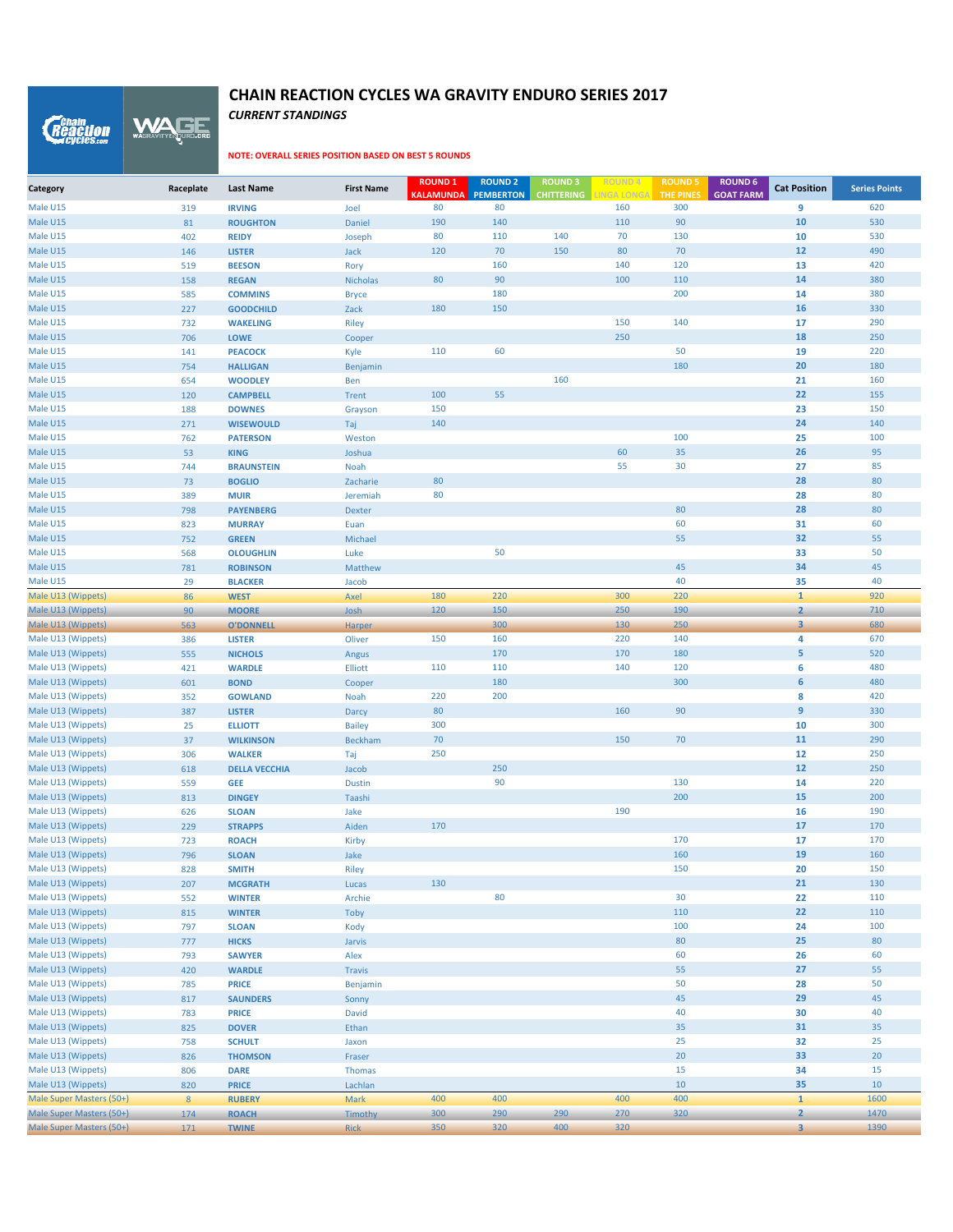*CURRENT STANDINGS* WAGE

*Reaction* 

| Category                                 | Raceplate  | <b>Last Name</b>               | <b>First Name</b> | <b>ROUND 1</b><br><b>KALAMUNDA</b> | <b>ROUND 2</b><br><b>PEMBERTON</b> | <b>ROUND 3</b><br><b>CHITTERING</b> | <b>INGA LONGA</b> | <b>ROUND 5</b><br><b>THE PINES</b> | <b>ROUND 6</b><br><b>GOAT FARM</b> | <b>Cat Position</b>     | <b>Series Points</b> |
|------------------------------------------|------------|--------------------------------|-------------------|------------------------------------|------------------------------------|-------------------------------------|-------------------|------------------------------------|------------------------------------|-------------------------|----------------------|
| Male U15                                 | 319        | <b>IRVING</b>                  | Joel              | 80                                 | 80                                 |                                     | 160               | 300                                |                                    | 9                       | 620                  |
| Male U15                                 | 81         | <b>ROUGHTON</b>                | Daniel            | 190                                | 140                                |                                     | 110               | 90                                 |                                    | 10                      | 530                  |
| Male U15                                 | 402        | <b>REIDY</b>                   | Joseph            | 80                                 | 110                                | 140                                 | 70                | 130                                |                                    | 10                      | 530                  |
| Male U15                                 | 146        | <b>LISTER</b>                  | Jack              | 120                                | 70                                 | 150                                 | 80                | 70                                 |                                    | 12                      | 490                  |
| Male U15                                 | 519        | <b>BEESON</b>                  | Rory              |                                    | 160                                |                                     | 140               | 120                                |                                    | 13                      | 420                  |
| Male U15                                 | 158        | <b>REGAN</b>                   | <b>Nicholas</b>   | 80                                 | 90                                 |                                     | 100               | 110                                |                                    | 14                      | 380                  |
| Male U15                                 | 585        | <b>COMMINS</b>                 | <b>Bryce</b>      |                                    | 180                                |                                     |                   | 200                                |                                    | 14                      | 380                  |
| Male U15                                 | 227        | <b>GOODCHILD</b>               | Zack              | 180                                | 150                                |                                     |                   |                                    |                                    | 16                      | 330                  |
| Male U15                                 | 732        | <b>WAKELING</b>                | <b>Riley</b>      |                                    |                                    |                                     | 150               | 140                                |                                    | 17                      | 290                  |
| Male U15                                 | 706        | <b>LOWE</b>                    | Cooper            |                                    |                                    |                                     | 250               |                                    |                                    | 18                      | 250                  |
| Male U15                                 | 141        | <b>PEACOCK</b>                 | Kyle              | 110                                | 60                                 |                                     |                   | 50                                 |                                    | 19                      | 220                  |
| Male U15                                 | 754        | <b>HALLIGAN</b>                | Benjamin          |                                    |                                    |                                     |                   | 180                                |                                    | 20                      | 180                  |
| Male U15                                 | 654        | <b>WOODLEY</b>                 | Ben               |                                    |                                    | 160                                 |                   |                                    |                                    | 21                      | 160                  |
| Male U15                                 | 120        | <b>CAMPBELL</b>                | <b>Trent</b>      | 100                                | 55                                 |                                     |                   |                                    |                                    | 22                      | 155                  |
| Male U15                                 | 188        | <b>DOWNES</b>                  | Grayson           | 150                                |                                    |                                     |                   |                                    |                                    | 23                      | 150                  |
| Male U15                                 | 271        | <b>WISEWOULD</b>               | Taj               | 140                                |                                    |                                     |                   |                                    |                                    | 24                      | 140                  |
| Male U15                                 | 762        | <b>PATERSON</b>                | Weston            |                                    |                                    |                                     |                   | 100                                |                                    | 25                      | 100                  |
| Male U15                                 | 53         | <b>KING</b>                    | Joshua            |                                    |                                    |                                     | 60                | 35                                 |                                    | 26                      | 95                   |
| Male U15                                 | 744        | <b>BRAUNSTEIN</b>              | Noah              |                                    |                                    |                                     | 55                | 30                                 |                                    | 27                      | 85                   |
| Male U15                                 | 73         | <b>BOGLIO</b>                  | Zacharie          | 80                                 |                                    |                                     |                   |                                    |                                    | 28                      | 80                   |
| Male U15                                 | 389        | <b>MUIR</b>                    | Jeremiah          | 80                                 |                                    |                                     |                   |                                    |                                    | 28                      | 80                   |
| Male U15                                 | 798        | <b>PAYENBERG</b>               | <b>Dexter</b>     |                                    |                                    |                                     |                   | 80                                 |                                    | 28                      | 80                   |
| Male U15                                 | 823        | <b>MURRAY</b>                  | Euan              |                                    |                                    |                                     |                   | 60                                 |                                    | 31                      | 60                   |
| Male U15                                 | 752        | <b>GREEN</b>                   | Michael           |                                    |                                    |                                     |                   | 55                                 |                                    | 32                      | 55                   |
| Male U15                                 | 568        | <b>OLOUGHLIN</b>               | Luke              |                                    | 50                                 |                                     |                   |                                    |                                    | 33                      | 50                   |
| Male U15                                 | 781        | <b>ROBINSON</b>                | Matthew           |                                    |                                    |                                     |                   | 45                                 |                                    | 34                      | 45                   |
| Male U15                                 | 29         | <b>BLACKER</b>                 | Jacob             |                                    |                                    |                                     |                   | 40                                 |                                    | 35                      | 40                   |
| Male U13 (Wippets)                       | 86         | <b>WEST</b>                    | Axel              | 180                                | 220                                |                                     | 300               | 220                                |                                    | $\mathbf{1}$            | 920                  |
| Male U13 (Wippets)                       | 90         | <b>MOORE</b>                   | Josh              | 120                                | 150                                |                                     | 250               | 190                                |                                    | $\overline{2}$          | 710                  |
| Male U13 (Wippets)                       | 563        | <b>O'DONNELL</b>               | Harper            |                                    | 300                                |                                     | 130               | 250                                |                                    | $\overline{\mathbf{3}}$ | 680                  |
| Male U13 (Wippets)                       | 386        | <b>LISTER</b>                  | Oliver            | 150                                | 160                                |                                     | 220               | 140                                |                                    | 4                       | 670                  |
| Male U13 (Wippets)                       | 555        | <b>NICHOLS</b>                 | Angus             |                                    | 170                                |                                     | 170               | 180                                |                                    | $\overline{5}$          | 520                  |
| Male U13 (Wippets)                       | 421        | <b>WARDLE</b>                  | Elliott           | 110                                | 110                                |                                     | 140               | 120                                |                                    | 6                       | 480                  |
| Male U13 (Wippets)                       | 601        | <b>BOND</b>                    | Cooper            |                                    | 180                                |                                     |                   | 300                                |                                    | 6                       | 480                  |
| Male U13 (Wippets)                       | 352        | <b>GOWLAND</b>                 | Noah              | 220                                | 200                                |                                     |                   |                                    |                                    | 8                       | 420                  |
| Male U13 (Wippets)                       | 387        | <b>LISTER</b>                  | Darcy             | 80                                 |                                    |                                     | 160               | 90                                 |                                    | 9                       | 330                  |
| Male U13 (Wippets)                       | 25         | <b>ELLIOTT</b>                 | <b>Bailey</b>     | 300                                |                                    |                                     |                   |                                    |                                    | 10                      | 300                  |
| Male U13 (Wippets)                       | 37         | <b>WILKINSON</b>               | <b>Beckham</b>    | 70                                 |                                    |                                     | 150               | 70                                 |                                    | 11                      | 290                  |
| Male U13 (Wippets)                       | 306        | <b>WALKER</b>                  | Taj               | 250                                |                                    |                                     |                   |                                    |                                    | 12                      | 250                  |
| Male U13 (Wippets)                       | 618        | <b>DELLA VECCHIA</b>           | Jacob             |                                    | 250                                |                                     |                   |                                    |                                    | 12                      | 250                  |
| Male U13 (Wippets)                       | 559        | <b>GEE</b>                     | <b>Dustin</b>     |                                    | 90                                 |                                     |                   | 130                                |                                    | 14                      | 220<br>200           |
| Male U13 (Wippets)                       | 813        | <b>DINGEY</b>                  | Taashi            |                                    |                                    |                                     | 190               | 200                                |                                    | 15<br>16                | 190                  |
| Male U13 (Wippets)<br>Male U13 (Wippets) | 626<br>229 | <b>SLOAN</b><br><b>STRAPPS</b> | Jake<br>Aiden     | 170                                |                                    |                                     |                   |                                    |                                    | 17                      | 170                  |
| Male U13 (Wippets)                       | 723        | <b>ROACH</b>                   |                   |                                    |                                    |                                     |                   | 170                                |                                    | 17                      | 170                  |
| Male U13 (Wippets)                       | 796        | <b>SLOAN</b>                   | Kirby<br>Jake     |                                    |                                    |                                     |                   | 160                                |                                    | 19                      | 160                  |
| Male U13 (Wippets)                       | 828        | <b>SMITH</b>                   | Riley             |                                    |                                    |                                     |                   | 150                                |                                    | 20                      | 150                  |
| Male U13 (Wippets)                       | 207        | <b>MCGRATH</b>                 | Lucas             | 130                                |                                    |                                     |                   |                                    |                                    | 21                      | 130                  |
| Male U13 (Wippets)                       | 552        | <b>WINTER</b>                  | Archie            |                                    | 80                                 |                                     |                   | 30                                 |                                    | 22                      | 110                  |
| Male U13 (Wippets)                       | 815        | <b>WINTER</b>                  | Toby              |                                    |                                    |                                     |                   | 110                                |                                    | 22                      | 110                  |
| Male U13 (Wippets)                       | 797        | <b>SLOAN</b>                   | Kody              |                                    |                                    |                                     |                   | 100                                |                                    | 24                      | 100                  |
| Male U13 (Wippets)                       | 777        | <b>HICKS</b>                   | Jarvis            |                                    |                                    |                                     |                   | 80                                 |                                    | 25                      | 80                   |
| Male U13 (Wippets)                       | 793        | <b>SAWYER</b>                  | Alex              |                                    |                                    |                                     |                   | 60                                 |                                    | 26                      | 60                   |
| Male U13 (Wippets)                       | 420        | <b>WARDLE</b>                  | <b>Travis</b>     |                                    |                                    |                                     |                   | 55                                 |                                    | 27                      | 55                   |
| Male U13 (Wippets)                       | 785        | <b>PRICE</b>                   | Benjamin          |                                    |                                    |                                     |                   | 50                                 |                                    | 28                      | 50                   |
| Male U13 (Wippets)                       | 817        | <b>SAUNDERS</b>                | Sonny             |                                    |                                    |                                     |                   | 45                                 |                                    | 29                      | 45                   |
| Male U13 (Wippets)                       | 783        | <b>PRICE</b>                   | David             |                                    |                                    |                                     |                   | 40                                 |                                    | 30                      | 40                   |
| Male U13 (Wippets)                       | 825        | <b>DOVER</b>                   | Ethan             |                                    |                                    |                                     |                   | 35                                 |                                    | 31                      | 35                   |
| Male U13 (Wippets)                       | 758        | <b>SCHULT</b>                  | Jaxon             |                                    |                                    |                                     |                   | 25                                 |                                    | 32                      | 25                   |
| Male U13 (Wippets)                       | 826        | <b>THOMSON</b>                 | Fraser            |                                    |                                    |                                     |                   | 20                                 |                                    | 33                      | 20                   |
| Male U13 (Wippets)                       | 806        | <b>DARE</b>                    | <b>Thomas</b>     |                                    |                                    |                                     |                   | 15                                 |                                    | 34                      | 15                   |
| Male U13 (Wippets)                       | 820        | <b>PRICE</b>                   | Lachlan           |                                    |                                    |                                     |                   | $10\,$                             |                                    | 35                      | 10                   |
| Male Super Masters (50+)                 | 8          | <b>RUBERY</b>                  | Mark              | 400                                | 400                                |                                     | 400               | 400                                |                                    | $\overline{1}$          | 1600                 |
| Male Super Masters (50+)                 | 174        | <b>ROACH</b>                   | Timothy           | 300                                | 290                                | 290                                 | 270               | 320                                |                                    | $\overline{2}$          | 1470                 |
| Male Super Masters (50+)                 | 171        | <b>TWINE</b>                   | <b>Rick</b>       | 350                                | 320                                | 400                                 | 320               |                                    |                                    | $\overline{\mathbf{3}}$ | 1390                 |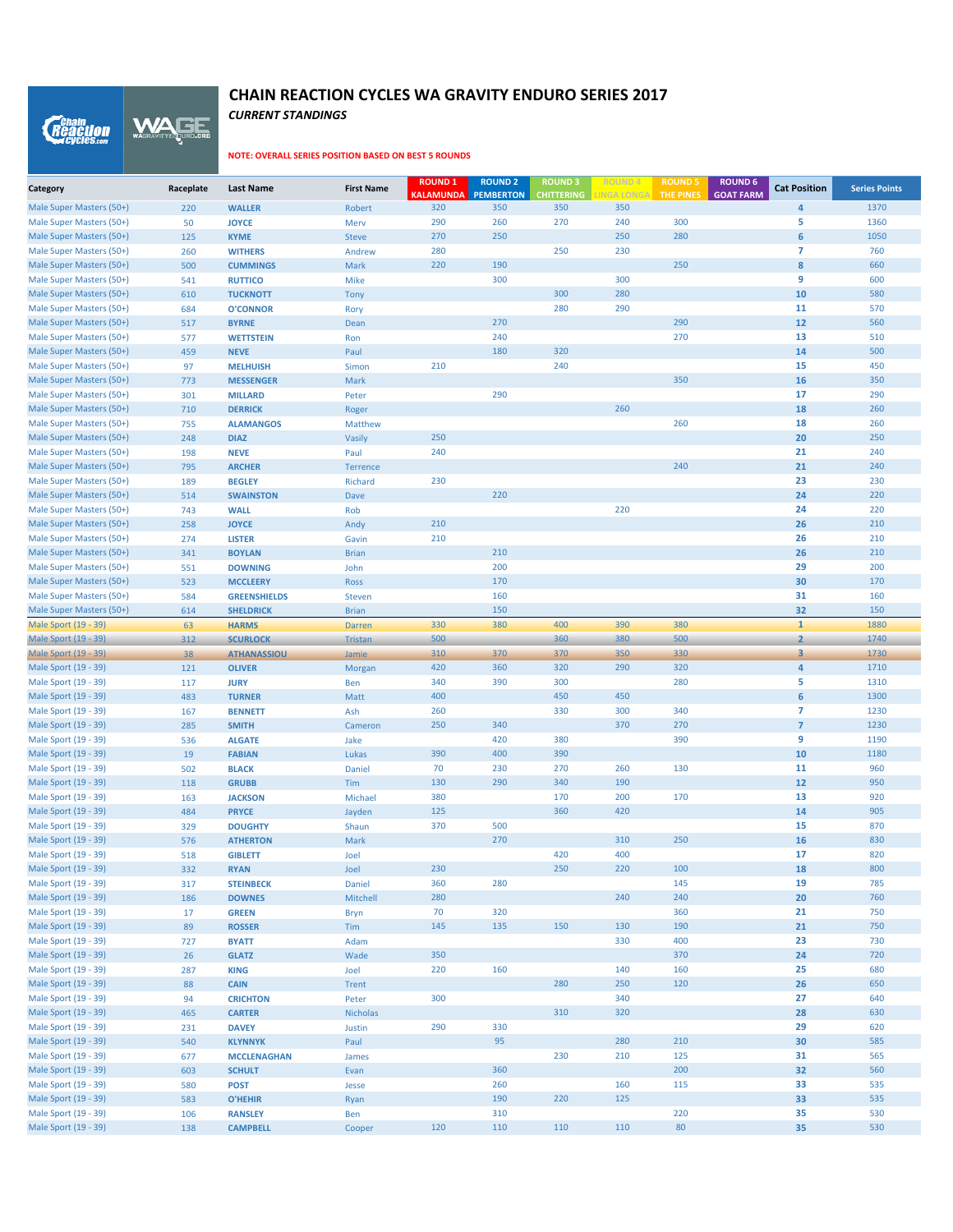*CURRENT STANDINGS* WAGE

*Reaction* 

| Category                                             | Raceplate  | <b>Last Name</b>                   | <b>First Name</b> | <b>ROUND1</b><br><b>KALAMUNDA</b> | <b>ROUND 2</b><br><b>PEMBERTON</b> | <b>ROUND3</b><br><b>CHITTERING</b> | <b>ROUND4</b><br><b>INGA LONGA</b> | <b>ROUND 5</b><br><b>THE PINES</b> | <b>ROUND 6</b><br><b>GOAT FARM</b> | <b>Cat Position</b>              | <b>Series Points</b> |
|------------------------------------------------------|------------|------------------------------------|-------------------|-----------------------------------|------------------------------------|------------------------------------|------------------------------------|------------------------------------|------------------------------------|----------------------------------|----------------------|
| Male Super Masters (50+)                             | 220        | <b>WALLER</b>                      | Robert            | 320                               | 350                                | 350                                | 350                                |                                    |                                    | 4                                | 1370                 |
| Male Super Masters (50+)                             | 50         | <b>JOYCE</b>                       | Merv              | 290                               | 260                                | 270                                | 240                                | 300                                |                                    | 5                                | 1360                 |
| Male Super Masters (50+)                             | 125        | <b>KYME</b>                        | <b>Steve</b>      | 270                               | 250                                |                                    | 250                                | 280                                |                                    | $\boldsymbol{6}$                 | 1050                 |
| Male Super Masters (50+)                             | 260        | <b>WITHERS</b>                     | Andrew            | 280                               |                                    | 250                                | 230                                |                                    |                                    | $\overline{7}$                   | 760                  |
| Male Super Masters (50+)                             | 500        | <b>CUMMINGS</b>                    | Mark              | 220                               | 190                                |                                    |                                    | 250                                |                                    | 8                                | 660                  |
| Male Super Masters (50+)                             | 541        | <b>RUTTICO</b>                     | Mike              |                                   | 300                                |                                    | 300                                |                                    |                                    | 9                                | 600                  |
| Male Super Masters (50+)                             | 610        | <b>TUCKNOTT</b>                    | Tony              |                                   |                                    | 300                                | 280                                |                                    |                                    | 10                               | 580                  |
| Male Super Masters (50+)                             | 684        | <b>O'CONNOR</b>                    | Rory              |                                   |                                    | 280                                | 290                                |                                    |                                    | 11                               | 570                  |
| Male Super Masters (50+)                             | 517        | <b>BYRNE</b>                       | Dean              |                                   | 270                                |                                    |                                    | 290                                |                                    | 12                               | 560                  |
| Male Super Masters (50+)                             | 577        | <b>WETTSTEIN</b>                   | Ron               |                                   | 240                                |                                    |                                    | 270                                |                                    | 13                               | 510                  |
| Male Super Masters (50+)                             | 459        | <b>NEVE</b>                        | Paul              |                                   | 180                                | 320                                |                                    |                                    |                                    | 14                               | 500                  |
| Male Super Masters (50+)                             | 97         | <b>MELHUISH</b>                    | Simon             | 210                               |                                    | 240                                |                                    |                                    |                                    | 15                               | 450                  |
| Male Super Masters (50+)                             | 773        | <b>MESSENGER</b>                   | Mark              |                                   |                                    |                                    |                                    | 350                                |                                    | 16                               | 350                  |
| Male Super Masters (50+)<br>Male Super Masters (50+) | 301        | <b>MILLARD</b>                     | Peter             |                                   | 290                                |                                    | 260                                |                                    |                                    | 17<br>18                         | 290<br>260           |
| Male Super Masters (50+)                             | 710<br>755 | <b>DERRICK</b><br><b>ALAMANGOS</b> | Roger<br>Matthew  |                                   |                                    |                                    |                                    | 260                                |                                    | 18                               | 260                  |
| Male Super Masters (50+)                             | 248        | <b>DIAZ</b>                        | Vasily            | 250                               |                                    |                                    |                                    |                                    |                                    | 20                               | 250                  |
| Male Super Masters (50+)                             | 198        | <b>NEVE</b>                        | Paul              | 240                               |                                    |                                    |                                    |                                    |                                    | 21                               | 240                  |
| Male Super Masters (50+)                             | 795        | <b>ARCHER</b>                      | Terrence          |                                   |                                    |                                    |                                    | 240                                |                                    | 21                               | 240                  |
| Male Super Masters (50+)                             | 189        | <b>BEGLEY</b>                      | Richard           | 230                               |                                    |                                    |                                    |                                    |                                    | 23                               | 230                  |
| Male Super Masters (50+)                             | 514        | <b>SWAINSTON</b>                   | Dave              |                                   | 220                                |                                    |                                    |                                    |                                    | 24                               | 220                  |
| Male Super Masters (50+)                             | 743        | <b>WALL</b>                        | Rob               |                                   |                                    |                                    | 220                                |                                    |                                    | 24                               | 220                  |
| Male Super Masters (50+)                             | 258        | <b>JOYCE</b>                       | Andy              | 210                               |                                    |                                    |                                    |                                    |                                    | 26                               | 210                  |
| Male Super Masters (50+)                             | 274        | <b>LISTER</b>                      | Gavin             | 210                               |                                    |                                    |                                    |                                    |                                    | 26                               | 210                  |
| Male Super Masters (50+)                             | 341        | <b>BOYLAN</b>                      | <b>Brian</b>      |                                   | 210                                |                                    |                                    |                                    |                                    | 26                               | 210                  |
| Male Super Masters (50+)                             | 551        | <b>DOWNING</b>                     | John              |                                   | 200                                |                                    |                                    |                                    |                                    | 29                               | 200                  |
| Male Super Masters (50+)                             | 523        | <b>MCCLEERY</b>                    | Ross              |                                   | 170                                |                                    |                                    |                                    |                                    | 30                               | 170                  |
| Male Super Masters (50+)                             | 584        | <b>GREENSHIELDS</b>                | <b>Steven</b>     |                                   | 160                                |                                    |                                    |                                    |                                    | 31                               | 160                  |
| Male Super Masters (50+)                             | 614        | <b>SHELDRICK</b>                   | <b>Brian</b>      |                                   | 150                                |                                    |                                    |                                    |                                    | 32                               | 150                  |
| Male Sport (19 - 39)                                 | 63         | <b>HARMS</b>                       | <b>Darren</b>     | 330                               | 380                                | 400                                | 390                                | 380                                |                                    | $\mathbf{1}$                     | 1880                 |
| Male Sport (19 - 39)                                 | 312        | <b>SCURLOCK</b>                    | <b>Tristan</b>    | 500                               |                                    | 360                                | 380                                | 500                                |                                    | $\overline{\mathbf{2}}$          | 1740                 |
| Male Sport (19 - 39)                                 | 38         | <b>ATHANASSIOU</b>                 | Jamie             | 310                               | 370                                | 370                                | 350                                | 330                                |                                    | 3                                | 1730                 |
| Male Sport (19 - 39)                                 | 121        | <b>OLIVER</b>                      | Morgan            | 420                               | 360                                | 320                                | 290                                | 320                                |                                    | 4                                | 1710                 |
| Male Sport (19 - 39)                                 | 117        | <b>JURY</b>                        | Ben               | 340                               | 390                                | 300                                |                                    | 280                                |                                    | 5                                | 1310                 |
| Male Sport (19 - 39)                                 | 483        | <b>TURNER</b>                      | Matt              | 400                               |                                    | 450                                | 450                                |                                    |                                    | $6\phantom{1}$                   | 1300                 |
| Male Sport (19 - 39)<br>Male Sport (19 - 39)         | 167        | <b>BENNETT</b>                     | Ash               | 260<br>250                        | 340                                | 330                                | 300<br>370                         | 340<br>270                         |                                    | $\overline{7}$<br>$\overline{7}$ | 1230<br>1230         |
| Male Sport (19 - 39)                                 | 285<br>536 | <b>SMITH</b><br><b>ALGATE</b>      | Cameron<br>Jake   |                                   | 420                                | 380                                |                                    | 390                                |                                    | 9                                | 1190                 |
| Male Sport (19 - 39)                                 | 19         | <b>FABIAN</b>                      | Lukas             | 390                               | 400                                | 390                                |                                    |                                    |                                    | 10                               | 1180                 |
| Male Sport (19 - 39)                                 | 502        | <b>BLACK</b>                       | Daniel            | 70                                | 230                                | 270                                | 260                                | 130                                |                                    | 11                               | 960                  |
| Male Sport (19 - 39)                                 | 118        | <b>GRUBB</b>                       | Tim               | 130                               | 290                                | 340                                | 190                                |                                    |                                    | 12                               | 950                  |
| Male Sport (19 - 39)                                 | 163        | <b>JACKSON</b>                     | Michael           | 380                               |                                    | 170                                | 200                                | 170                                |                                    | 13                               | 920                  |
| Male Sport (19 - 39)                                 | 484        | <b>PRYCE</b>                       | Jayden            | 125                               |                                    | 360                                | 420                                |                                    |                                    | 14                               | 905                  |
| Male Sport (19 - 39)                                 | 329        | <b>DOUGHTY</b>                     | Shaun             | 370                               | 500                                |                                    |                                    |                                    |                                    | 15                               | 870                  |
| Male Sport (19 - 39)                                 | 576        | <b>ATHERTON</b>                    | Mark              |                                   | 270                                |                                    | 310                                | 250                                |                                    | 16                               | 830                  |
| Male Sport (19 - 39)                                 | 518        | <b>GIBLETT</b>                     | Joel              |                                   |                                    | 420                                | 400                                |                                    |                                    | 17                               | 820                  |
| Male Sport (19 - 39)                                 | 332        | <b>RYAN</b>                        | Joel              | 230                               |                                    | 250                                | 220                                | 100                                |                                    | 18                               | 800                  |
| Male Sport (19 - 39)                                 | 317        | <b>STEINBECK</b>                   | Daniel            | 360                               | 280                                |                                    |                                    | 145                                |                                    | 19                               | 785                  |
| Male Sport (19 - 39)                                 | 186        | <b>DOWNES</b>                      | Mitchell          | 280                               |                                    |                                    | 240                                | 240                                |                                    | 20                               | 760                  |
| Male Sport (19 - 39)                                 | 17         | <b>GREEN</b>                       | <b>Bryn</b>       | 70                                | 320                                |                                    |                                    | 360                                |                                    | 21                               | 750                  |
| Male Sport (19 - 39)                                 | 89         | <b>ROSSER</b>                      | Tim               | 145                               | 135                                | 150                                | 130                                | 190                                |                                    | 21                               | 750                  |
| Male Sport (19 - 39)                                 | 727        | <b>BYATT</b>                       | Adam              |                                   |                                    |                                    | 330                                | 400                                |                                    | 23                               | 730                  |
| Male Sport (19 - 39)                                 | 26         | <b>GLATZ</b>                       | Wade              | 350                               |                                    |                                    |                                    | 370                                |                                    | 24                               | 720                  |
| Male Sport (19 - 39)                                 | 287        | <b>KING</b>                        | Joel              | 220                               | 160                                |                                    | 140                                | 160                                |                                    | 25                               | 680                  |
| Male Sport (19 - 39)                                 | 88         | <b>CAIN</b>                        | Trent             |                                   |                                    | 280                                | 250                                | 120                                |                                    | 26                               | 650                  |
| Male Sport (19 - 39)                                 | 94         | <b>CRICHTON</b>                    | Peter             | 300                               |                                    |                                    | 340                                |                                    |                                    | 27                               | 640                  |
| Male Sport (19 - 39)                                 | 465        | <b>CARTER</b>                      | <b>Nicholas</b>   |                                   |                                    | 310                                | 320                                |                                    |                                    | 28                               | 630                  |
| Male Sport (19 - 39)                                 | 231        | <b>DAVEY</b>                       | Justin            | 290                               | 330                                |                                    |                                    |                                    |                                    | 29                               | 620                  |
| Male Sport (19 - 39)                                 | 540        | <b>KLYNNYK</b>                     | Paul              |                                   | 95                                 |                                    | 280                                | 210                                |                                    | 30                               | 585                  |
| Male Sport (19 - 39)                                 | 677        | <b>MCCLENAGHAN</b>                 | James             |                                   | 360                                | 230                                | 210                                | 125<br>200                         |                                    | 31<br>32                         | 565<br>560           |
| Male Sport (19 - 39)<br>Male Sport (19 - 39)         | 603        | <b>SCHULT</b><br><b>POST</b>       | Evan              |                                   | 260                                |                                    | 160                                | 115                                |                                    | 33                               | 535                  |
| Male Sport (19 - 39)                                 | 580<br>583 | <b>O'HEHIR</b>                     | Jesse<br>Ryan     |                                   | 190                                | 220                                | 125                                |                                    |                                    | 33                               | 535                  |
| Male Sport (19 - 39)                                 | 106        | <b>RANSLEY</b>                     | Ben               |                                   | 310                                |                                    |                                    | 220                                |                                    | 35                               | 530                  |
| Male Sport (19 - 39)                                 | 138        | <b>CAMPBELL</b>                    | Cooper            | 120                               | 110                                | 110                                | 110                                | 80                                 |                                    | 35                               | 530                  |
|                                                      |            |                                    |                   |                                   |                                    |                                    |                                    |                                    |                                    |                                  |                      |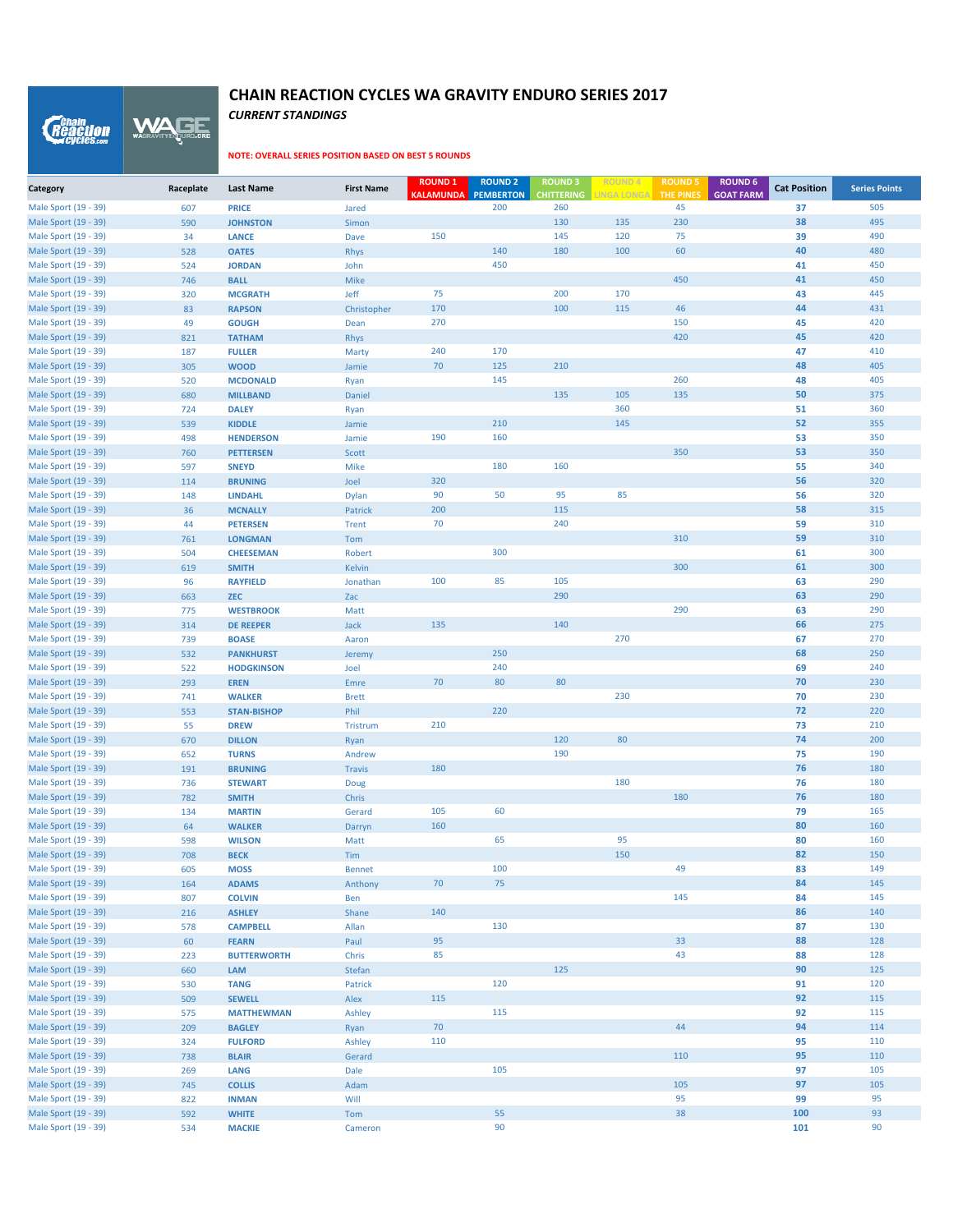*CURRENT STANDINGS*

WAGE

*Reaction* 

| Category                                     | Raceplate  | <b>Last Name</b>                   | <b>First Name</b>       | <b>ROUND 1</b><br><b>KALAMUNDA</b> | <b>ROUND 2</b><br><b>PEMBERTON</b> | <b>ROUND 3</b><br><b>CHITTERING</b> | <b>ROUND 4</b><br><b>INGA LONGA</b> | <b>ROUND 5</b><br><b>THE PINES</b> | <b>ROUND 6</b><br><b>GOAT FARM</b> | <b>Cat Position</b> | <b>Series Points</b> |
|----------------------------------------------|------------|------------------------------------|-------------------------|------------------------------------|------------------------------------|-------------------------------------|-------------------------------------|------------------------------------|------------------------------------|---------------------|----------------------|
| Male Sport (19 - 39)                         | 607        | <b>PRICE</b>                       | Jared                   |                                    | 200                                | 260                                 |                                     | 45                                 |                                    | 37                  | 505                  |
| Male Sport (19 - 39)                         | 590        | <b>JOHNSTON</b>                    | Simon                   |                                    |                                    | 130                                 | 135                                 | 230                                |                                    | 38                  | 495                  |
| Male Sport (19 - 39)                         | 34         | <b>LANCE</b>                       | Dave                    | 150                                |                                    | 145                                 | 120                                 | 75                                 |                                    | 39                  | 490                  |
| Male Sport (19 - 39)                         | 528        | <b>OATES</b>                       | Rhys                    |                                    | 140                                | 180                                 | 100                                 | 60                                 |                                    | 40                  | 480                  |
| Male Sport (19 - 39)                         | 524        | <b>JORDAN</b>                      | John                    |                                    | 450                                |                                     |                                     |                                    |                                    | 41                  | 450                  |
| Male Sport (19 - 39)                         | 746        | <b>BALL</b>                        | Mike                    |                                    |                                    |                                     |                                     | 450                                |                                    | 41                  | 450                  |
| Male Sport (19 - 39)                         | 320        | <b>MCGRATH</b>                     | Jeff                    | 75                                 |                                    | 200                                 | 170                                 |                                    |                                    | 43                  | 445                  |
| Male Sport (19 - 39)                         | 83         | <b>RAPSON</b>                      | Christopher             | 170                                |                                    | 100                                 | 115                                 | 46                                 |                                    | 44                  | 431                  |
| Male Sport (19 - 39)<br>Male Sport (19 - 39) | 49         | <b>GOUGH</b>                       | Dean                    | 270                                |                                    |                                     |                                     | 150<br>420                         |                                    | 45                  | 420                  |
| Male Sport (19 - 39)                         | 821        | <b>TATHAM</b><br><b>FULLER</b>     | Rhys                    | 240                                | 170                                |                                     |                                     |                                    |                                    | 45<br>47            | 420<br>410           |
| Male Sport (19 - 39)                         | 187<br>305 | <b>WOOD</b>                        | Marty<br>Jamie          | 70                                 | 125                                | 210                                 |                                     |                                    |                                    | 48                  | 405                  |
| Male Sport (19 - 39)                         | 520        | <b>MCDONALD</b>                    | Ryan                    |                                    | 145                                |                                     |                                     | 260                                |                                    | 48                  | 405                  |
| Male Sport (19 - 39)                         | 680        | <b>MILLBAND</b>                    | Daniel                  |                                    |                                    | 135                                 | 105                                 | 135                                |                                    | 50                  | 375                  |
| Male Sport (19 - 39)                         | 724        | <b>DALEY</b>                       | Ryan                    |                                    |                                    |                                     | 360                                 |                                    |                                    | 51                  | 360                  |
| Male Sport (19 - 39)                         | 539        | <b>KIDDLE</b>                      | Jamie                   |                                    | 210                                |                                     | 145                                 |                                    |                                    | 52                  | 355                  |
| Male Sport (19 - 39)                         | 498        | <b>HENDERSON</b>                   | Jamie                   | 190                                | 160                                |                                     |                                     |                                    |                                    | 53                  | 350                  |
| Male Sport (19 - 39)                         | 760        | <b>PETTERSEN</b>                   | Scott                   |                                    |                                    |                                     |                                     | 350                                |                                    | 53                  | 350                  |
| Male Sport (19 - 39)                         | 597        | <b>SNEYD</b>                       | Mike                    |                                    | 180                                | 160                                 |                                     |                                    |                                    | 55                  | 340                  |
| Male Sport (19 - 39)                         | 114        | <b>BRUNING</b>                     | Joel                    | 320                                |                                    |                                     |                                     |                                    |                                    | 56                  | 320                  |
| Male Sport (19 - 39)                         | 148        | <b>LINDAHL</b>                     | <b>Dylan</b>            | 90                                 | 50                                 | 95                                  | 85                                  |                                    |                                    | 56                  | 320                  |
| Male Sport (19 - 39)                         | 36         | <b>MCNALLY</b>                     | Patrick                 | 200                                |                                    | 115                                 |                                     |                                    |                                    | 58                  | 315                  |
| Male Sport (19 - 39)                         | 44         | <b>PETERSEN</b>                    | <b>Trent</b>            | 70                                 |                                    | 240                                 |                                     |                                    |                                    | 59                  | 310                  |
| Male Sport (19 - 39)                         | 761        | <b>LONGMAN</b>                     | Tom                     |                                    |                                    |                                     |                                     | 310                                |                                    | 59                  | 310                  |
| Male Sport (19 - 39)<br>Male Sport (19 - 39) | 504<br>619 | <b>CHEESEMAN</b>                   | Robert                  |                                    | 300                                |                                     |                                     | 300                                |                                    | 61<br>61            | 300<br>300           |
| Male Sport (19 - 39)                         | 96         | <b>SMITH</b><br><b>RAYFIELD</b>    | Kelvin<br>Jonathan      | 100                                | 85                                 | 105                                 |                                     |                                    |                                    | 63                  | 290                  |
| Male Sport (19 - 39)                         | 663        | <b>ZEC</b>                         | Zac                     |                                    |                                    | 290                                 |                                     |                                    |                                    | 63                  | 290                  |
| Male Sport (19 - 39)                         | 775        | <b>WESTBROOK</b>                   | Matt                    |                                    |                                    |                                     |                                     | 290                                |                                    | 63                  | 290                  |
| Male Sport (19 - 39)                         | 314        | <b>DE REEPER</b>                   | Jack                    | 135                                |                                    | 140                                 |                                     |                                    |                                    | 66                  | 275                  |
| Male Sport (19 - 39)                         | 739        | <b>BOASE</b>                       | Aaron                   |                                    |                                    |                                     | 270                                 |                                    |                                    | 67                  | 270                  |
| Male Sport (19 - 39)                         | 532        | <b>PANKHURST</b>                   | Jeremy                  |                                    | 250                                |                                     |                                     |                                    |                                    | 68                  | 250                  |
| Male Sport (19 - 39)                         | 522        | <b>HODGKINSON</b>                  | Joel                    |                                    | 240                                |                                     |                                     |                                    |                                    | 69                  | 240                  |
| Male Sport (19 - 39)                         | 293        | <b>EREN</b>                        | Emre                    | 70                                 | 80                                 | 80                                  |                                     |                                    |                                    | 70                  | 230                  |
| Male Sport (19 - 39)                         | 741        | <b>WALKER</b>                      | <b>Brett</b>            |                                    |                                    |                                     | 230                                 |                                    |                                    | 70                  | 230                  |
| Male Sport (19 - 39)                         | 553        | <b>STAN-BISHOP</b>                 | Phil                    |                                    | 220                                |                                     |                                     |                                    |                                    | 72                  | 220                  |
| Male Sport (19 - 39)                         | 55         | <b>DREW</b>                        | Tristrum                | 210                                |                                    |                                     |                                     |                                    |                                    | 73                  | 210                  |
| Male Sport (19 - 39)                         | 670<br>652 | <b>DILLON</b>                      | Ryan                    |                                    |                                    | 120<br>190                          | 80                                  |                                    |                                    | 74<br>75            | 200<br>190           |
| Male Sport (19 - 39)<br>Male Sport (19 - 39) | 191        | <b>TURNS</b><br><b>BRUNING</b>     | Andrew<br><b>Travis</b> | 180                                |                                    |                                     |                                     |                                    |                                    | 76                  | 180                  |
| Male Sport (19 - 39)                         | 736        | <b>STEWART</b>                     | Doug                    |                                    |                                    |                                     | 180                                 |                                    |                                    | 76                  | 180                  |
| Male Sport (19 - 39)                         | 782        | <b>SMITH</b>                       | Chris                   |                                    |                                    |                                     |                                     | 180                                |                                    | 76                  | 180                  |
| Male Sport (19 - 39)                         | 134        | <b>MARTIN</b>                      | Gerard                  | 105                                | 60                                 |                                     |                                     |                                    |                                    | 79                  | 165                  |
| Male Sport (19 - 39)                         | 64         | <b>WALKER</b>                      | Darryn                  | 160                                |                                    |                                     |                                     |                                    |                                    | 80                  | 160                  |
| Male Sport (19 - 39)                         | 598        | <b>WILSON</b>                      | Matt                    |                                    | 65                                 |                                     | 95                                  |                                    |                                    | 80                  | 160                  |
| Male Sport (19 - 39)                         | 708        | <b>BECK</b>                        | Tim                     |                                    |                                    |                                     | 150                                 |                                    |                                    | 82                  | 150                  |
| Male Sport (19 - 39)                         | 605        | <b>MOSS</b>                        | <b>Bennet</b>           |                                    | 100                                |                                     |                                     | 49                                 |                                    | 83                  | 149                  |
| Male Sport (19 - 39)                         | 164        | <b>ADAMS</b>                       | Anthony                 | 70                                 | 75                                 |                                     |                                     |                                    |                                    | 84                  | 145                  |
| Male Sport (19 - 39)                         | 807        | <b>COLVIN</b>                      | Ben                     |                                    |                                    |                                     |                                     | 145                                |                                    | 84                  | 145                  |
| Male Sport (19 - 39)                         | 216        | <b>ASHLEY</b>                      | Shane                   | 140                                |                                    |                                     |                                     |                                    |                                    | 86                  | 140                  |
| Male Sport (19 - 39)<br>Male Sport (19 - 39) | 578        | <b>CAMPBELL</b>                    | Allan                   | 95                                 | 130                                |                                     |                                     | 33                                 |                                    | 87<br>88            | 130<br>128           |
| Male Sport (19 - 39)                         | 60<br>223  | <b>FEARN</b><br><b>BUTTERWORTH</b> | Paul<br>Chris           | 85                                 |                                    |                                     |                                     | 43                                 |                                    | 88                  | 128                  |
| Male Sport (19 - 39)                         | 660        | LAM                                | Stefan                  |                                    |                                    | 125                                 |                                     |                                    |                                    | 90                  | 125                  |
| Male Sport (19 - 39)                         | 530        | <b>TANG</b>                        | Patrick                 |                                    | 120                                |                                     |                                     |                                    |                                    | 91                  | 120                  |
| Male Sport (19 - 39)                         | 509        | <b>SEWELL</b>                      | Alex                    | 115                                |                                    |                                     |                                     |                                    |                                    | 92                  | 115                  |
| Male Sport (19 - 39)                         | 575        | <b>MATTHEWMAN</b>                  | Ashley                  |                                    | 115                                |                                     |                                     |                                    |                                    | 92                  | 115                  |
| Male Sport (19 - 39)                         | 209        | <b>BAGLEY</b>                      | Ryan                    | 70                                 |                                    |                                     |                                     | 44                                 |                                    | 94                  | 114                  |
| Male Sport (19 - 39)                         | 324        | <b>FULFORD</b>                     | Ashley                  | 110                                |                                    |                                     |                                     |                                    |                                    | 95                  | 110                  |
| Male Sport (19 - 39)                         | 738        | <b>BLAIR</b>                       | Gerard                  |                                    |                                    |                                     |                                     | 110                                |                                    | 95                  | 110                  |
| Male Sport (19 - 39)                         | 269        | LANG                               | Dale                    |                                    | 105                                |                                     |                                     |                                    |                                    | 97                  | 105                  |
| Male Sport (19 - 39)                         | 745        | <b>COLLIS</b>                      | Adam                    |                                    |                                    |                                     |                                     | 105                                |                                    | 97                  | 105                  |
| Male Sport (19 - 39)                         | 822        | <b>INMAN</b>                       | Will                    |                                    |                                    |                                     |                                     | 95                                 |                                    | 99                  | 95                   |
| Male Sport (19 - 39)                         | 592        | <b>WHITE</b>                       | Tom                     |                                    | 55                                 |                                     |                                     | 38                                 |                                    | 100                 | 93                   |
| Male Sport (19 - 39)                         | 534        | <b>MACKIE</b>                      | Cameron                 |                                    | 90                                 |                                     |                                     |                                    |                                    | 101                 | 90                   |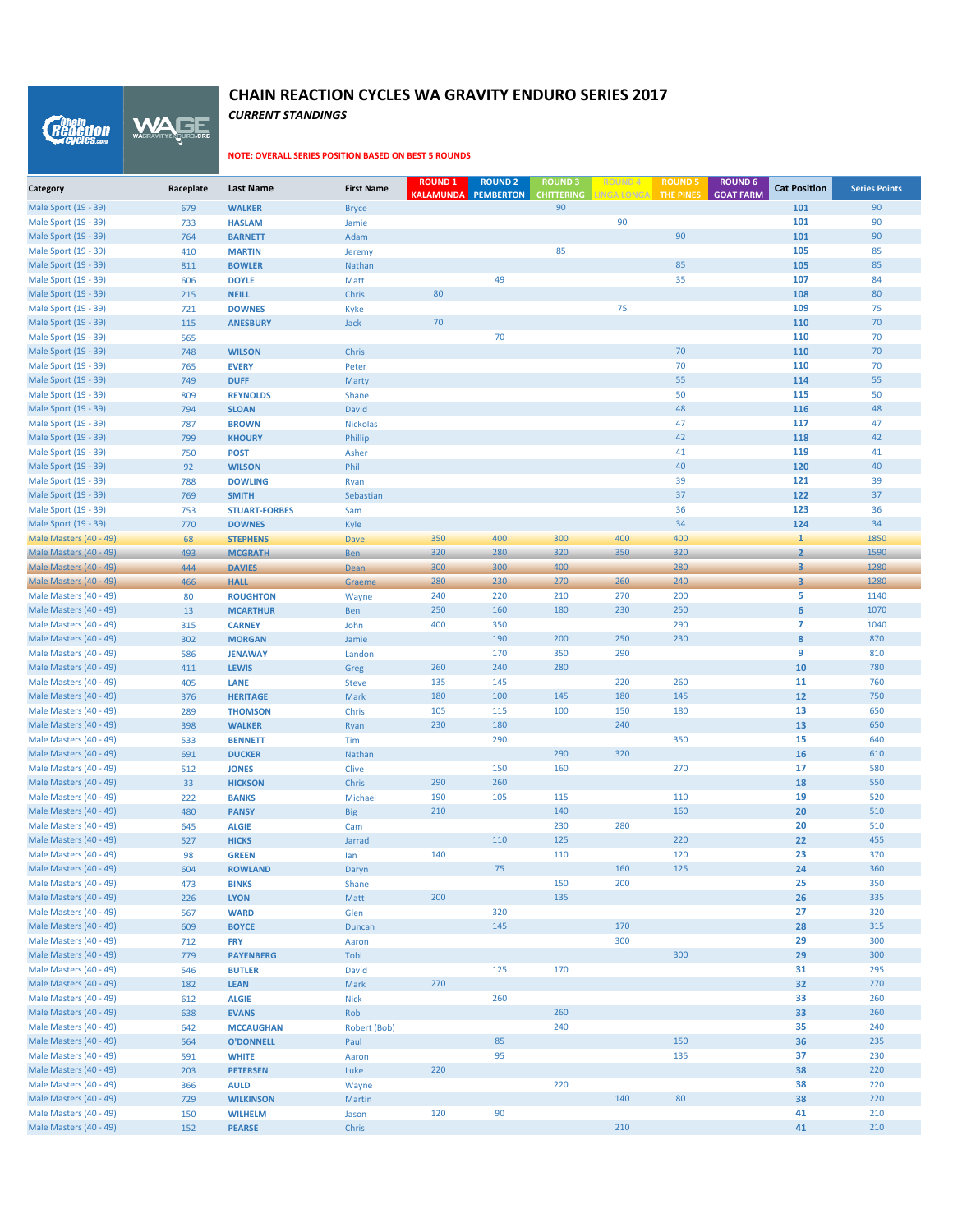WAGE *Reaction* 

#### **NOTE: OVERALL SERIES POSITION BASED ON BEST 5 ROUNDS**

*CURRENT STANDINGS*

| Category                                         | Raceplate  | <b>Last Name</b>                | <b>First Name</b>        | <b>ROUND 1</b><br><b>KALAMUNDA</b> | <b>ROUND 2</b><br><b>PEMBERTON</b> | <b>ROUND 3</b><br><b>CHITTERING</b> | <b>ROUND4</b><br><b>LINGA LONGA</b> | <b>ROUND 5</b><br><b>THE PINES</b> | <b>ROUND 6</b><br><b>GOAT FARM</b> | <b>Cat Position</b>     | <b>Series Points</b> |
|--------------------------------------------------|------------|---------------------------------|--------------------------|------------------------------------|------------------------------------|-------------------------------------|-------------------------------------|------------------------------------|------------------------------------|-------------------------|----------------------|
| Male Sport (19 - 39)                             | 679        | <b>WALKER</b>                   | <b>Bryce</b>             |                                    |                                    | 90                                  |                                     |                                    |                                    | 101                     | 90                   |
| Male Sport (19 - 39)                             | 733        | <b>HASLAM</b>                   | Jamie                    |                                    |                                    |                                     | 90                                  |                                    |                                    | 101                     | 90                   |
| Male Sport (19 - 39)                             | 764        | <b>BARNETT</b>                  | Adam                     |                                    |                                    |                                     |                                     | 90                                 |                                    | 101                     | 90                   |
| Male Sport (19 - 39)                             | 410        | <b>MARTIN</b>                   | Jeremy                   |                                    |                                    | 85                                  |                                     |                                    |                                    | 105                     | 85                   |
| Male Sport (19 - 39)                             | 811        | <b>BOWLER</b>                   | Nathan                   |                                    |                                    |                                     |                                     | 85                                 |                                    | 105                     | 85                   |
| Male Sport (19 - 39)                             | 606        | <b>DOYLE</b>                    | Matt                     |                                    | 49                                 |                                     |                                     | 35                                 |                                    | 107                     | 84                   |
| Male Sport (19 - 39)                             | 215        | <b>NEILL</b>                    | Chris                    | 80                                 |                                    |                                     |                                     |                                    |                                    | 108                     | 80                   |
| Male Sport (19 - 39)                             | 721        | <b>DOWNES</b>                   | Kyke                     |                                    |                                    |                                     | 75                                  |                                    |                                    | 109                     | 75                   |
| Male Sport (19 - 39)                             | 115        | <b>ANESBURY</b>                 | <b>Jack</b>              | 70                                 |                                    |                                     |                                     |                                    |                                    | 110                     | 70                   |
| Male Sport (19 - 39)                             | 565        |                                 |                          |                                    | 70                                 |                                     |                                     |                                    |                                    | 110                     | 70                   |
| Male Sport (19 - 39)                             | 748        | <b>WILSON</b>                   | Chris                    |                                    |                                    |                                     |                                     | 70                                 |                                    | 110                     | 70                   |
| Male Sport (19 - 39)                             | 765        | <b>EVERY</b>                    | Peter                    |                                    |                                    |                                     |                                     | 70                                 |                                    | 110                     | 70                   |
| Male Sport (19 - 39)                             | 749        | <b>DUFF</b>                     | Marty                    |                                    |                                    |                                     |                                     | 55                                 |                                    | 114                     | 55                   |
| Male Sport (19 - 39)<br>Male Sport (19 - 39)     | 809        | <b>REYNOLDS</b>                 | Shane                    |                                    |                                    |                                     |                                     | 50<br>48                           |                                    | 115<br>116              | 50<br>48             |
| Male Sport (19 - 39)                             | 794<br>787 | <b>SLOAN</b><br><b>BROWN</b>    | <b>David</b><br>Nickolas |                                    |                                    |                                     |                                     | 47                                 |                                    | 117                     | 47                   |
| Male Sport (19 - 39)                             | 799        | <b>KHOURY</b>                   | Phillip                  |                                    |                                    |                                     |                                     | 42                                 |                                    | 118                     | 42                   |
| Male Sport (19 - 39)                             | 750        | <b>POST</b>                     | Asher                    |                                    |                                    |                                     |                                     | 41                                 |                                    | 119                     | 41                   |
| Male Sport (19 - 39)                             | 92         | <b>WILSON</b>                   | Phil                     |                                    |                                    |                                     |                                     | 40                                 |                                    | 120                     | 40                   |
| Male Sport (19 - 39)                             | 788        | <b>DOWLING</b>                  | Ryan                     |                                    |                                    |                                     |                                     | 39                                 |                                    | 121                     | 39                   |
| Male Sport (19 - 39)                             | 769        | <b>SMITH</b>                    | Sebastian                |                                    |                                    |                                     |                                     | 37                                 |                                    | 122                     | 37                   |
| Male Sport (19 - 39)                             | 753        | <b>STUART-FORBES</b>            | Sam                      |                                    |                                    |                                     |                                     | 36                                 |                                    | 123                     | 36                   |
| Male Sport (19 - 39)                             | 770        | <b>DOWNES</b>                   | Kyle                     |                                    |                                    |                                     |                                     | 34                                 |                                    | 124                     | 34                   |
| Male Masters (40 - 49)                           | 68         | <b>STEPHENS</b>                 | Dave                     | 350                                | 400                                | 300                                 | 400                                 | 400                                |                                    | $\mathbf{1}$            | 1850                 |
| Male Masters (40 - 49)                           | 493        | <b>MCGRATH</b>                  | Ben                      | 320                                | 280                                | 320                                 | 350                                 | 320                                |                                    | $\overline{2}$          | 1590                 |
| Male Masters (40 - 49)                           | 444        | <b>DAVIES</b>                   | Dean                     | 300                                | 300                                | 400                                 |                                     | 280                                |                                    | $\overline{\mathbf{3}}$ | 1280                 |
| Male Masters (40 - 49)                           | 466        | <b>HALL</b>                     | Graeme                   | 280                                | 230                                | 270                                 | 260                                 | 240                                |                                    | $\overline{\mathbf{3}}$ | 1280                 |
| Male Masters (40 - 49)                           | 80         | <b>ROUGHTON</b>                 | Wayne                    | 240                                | 220                                | 210                                 | 270                                 | 200                                |                                    | 5                       | 1140                 |
| Male Masters (40 - 49)                           | 13         | <b>MCARTHUR</b>                 | Ben                      | 250                                | 160                                | 180                                 | 230                                 | 250                                |                                    | 6                       | 1070                 |
| Male Masters (40 - 49)                           | 315        | <b>CARNEY</b>                   | John                     | 400                                | 350                                |                                     |                                     | 290                                |                                    | $\overline{7}$          | 1040                 |
| Male Masters (40 - 49)                           | 302        | <b>MORGAN</b>                   | Jamie                    |                                    | 190                                | 200                                 | 250                                 | 230                                |                                    | 8                       | 870                  |
| Male Masters (40 - 49)                           | 586        | <b>JENAWAY</b>                  | Landon                   |                                    | 170                                | 350                                 | 290                                 |                                    |                                    | 9                       | 810                  |
| Male Masters (40 - 49)                           | 411        | <b>LEWIS</b>                    | Greg                     | 260                                | 240                                | 280                                 |                                     |                                    |                                    | 10                      | 780                  |
| Male Masters (40 - 49)                           | 405        | LANE                            | <b>Steve</b>             | 135                                | 145                                |                                     | 220                                 | 260                                |                                    | 11                      | 760                  |
| Male Masters (40 - 49)                           | 376        | <b>HERITAGE</b>                 | Mark                     | 180                                | 100                                | 145                                 | 180                                 | 145                                |                                    | 12                      | 750                  |
| Male Masters (40 - 49)                           | 289        | <b>THOMSON</b>                  | Chris                    | 105                                | 115                                | 100                                 | 150                                 | 180                                |                                    | 13                      | 650                  |
| Male Masters (40 - 49)                           | 398        | <b>WALKER</b>                   | Ryan                     | 230                                | 180                                |                                     | 240                                 | 350                                |                                    | 13                      | 650                  |
| Male Masters (40 - 49)<br>Male Masters (40 - 49) | 533<br>691 | <b>BENNETT</b><br><b>DUCKER</b> | Tim                      |                                    | 290                                | 290                                 | 320                                 |                                    |                                    | 15<br>16                | 640<br>610           |
| Male Masters (40 - 49)                           | 512        | <b>JONES</b>                    | Nathan<br>Clive          |                                    | 150                                | 160                                 |                                     | 270                                |                                    | 17                      | 580                  |
| Male Masters (40 - 49)                           | 33         | <b>HICKSON</b>                  | Chris                    | 290                                | 260                                |                                     |                                     |                                    |                                    | 18                      | 550                  |
| Male Masters (40 - 49)                           | 222        | <b>BANKS</b>                    | Michael                  | 190                                | 105                                | 115                                 |                                     | 110                                |                                    | 19                      | 520                  |
| Male Masters (40 - 49)                           | 480        | <b>PANSY</b>                    | <b>Big</b>               | 210                                |                                    | 140                                 |                                     | 160                                |                                    | 20                      | 510                  |
| Male Masters (40 - 49)                           | 645        | <b>ALGIE</b>                    | Cam                      |                                    |                                    | 230                                 | 280                                 |                                    |                                    | 20                      | 510                  |
| Male Masters (40 - 49)                           | 527        | <b>HICKS</b>                    | Jarrad                   |                                    | 110                                | 125                                 |                                     | 220                                |                                    | 22                      | 455                  |
| Male Masters (40 - 49)                           | 98         | <b>GREEN</b>                    | lan                      | 140                                |                                    | 110                                 |                                     | 120                                |                                    | 23                      | 370                  |
| Male Masters (40 - 49)                           | 604        | <b>ROWLAND</b>                  | Daryn                    |                                    | 75                                 |                                     | 160                                 | 125                                |                                    | 24                      | 360                  |
| Male Masters (40 - 49)                           | 473        | <b>BINKS</b>                    | Shane                    |                                    |                                    | 150                                 | 200                                 |                                    |                                    | 25                      | 350                  |
| Male Masters (40 - 49)                           | 226        | <b>LYON</b>                     | Matt                     | 200                                |                                    | 135                                 |                                     |                                    |                                    | 26                      | 335                  |
| Male Masters (40 - 49)                           | 567        | <b>WARD</b>                     | Glen                     |                                    | 320                                |                                     |                                     |                                    |                                    | 27                      | 320                  |
| Male Masters (40 - 49)                           | 609        | <b>BOYCE</b>                    | Duncan                   |                                    | 145                                |                                     | 170                                 |                                    |                                    | 28                      | 315                  |
| Male Masters (40 - 49)                           | 712        | <b>FRY</b>                      | Aaron                    |                                    |                                    |                                     | 300                                 |                                    |                                    | 29                      | 300                  |
| Male Masters (40 - 49)                           | 779        | <b>PAYENBERG</b>                | Tobi                     |                                    |                                    |                                     |                                     | 300                                |                                    | 29                      | 300                  |
| Male Masters (40 - 49)                           | 546        | <b>BUTLER</b>                   | David                    |                                    | 125                                | 170                                 |                                     |                                    |                                    | 31                      | 295                  |
| Male Masters (40 - 49)                           | 182        | <b>LEAN</b>                     | Mark                     | 270                                |                                    |                                     |                                     |                                    |                                    | 32                      | 270                  |
| Male Masters (40 - 49)                           | 612        | <b>ALGIE</b>                    | <b>Nick</b>              |                                    | 260                                |                                     |                                     |                                    |                                    | 33                      | 260                  |
| Male Masters (40 - 49)                           | 638        | <b>EVANS</b>                    | Rob                      |                                    |                                    | 260                                 |                                     |                                    |                                    | 33                      | 260                  |
| Male Masters (40 - 49)                           | 642        | <b>MCCAUGHAN</b>                | Robert (Bob)             |                                    |                                    | 240                                 |                                     |                                    |                                    | 35                      | 240                  |
| Male Masters (40 - 49)                           | 564        | <b>O'DONNELL</b>                | Paul                     |                                    | 85                                 |                                     |                                     | 150                                |                                    | 36                      | 235                  |
| Male Masters (40 - 49)                           | 591        | <b>WHITE</b>                    | Aaron                    |                                    | 95                                 |                                     |                                     | 135                                |                                    | 37                      | 230                  |
| Male Masters (40 - 49)                           | 203        | <b>PETERSEN</b>                 | Luke                     | 220                                |                                    |                                     |                                     |                                    |                                    | 38                      | 220                  |
| Male Masters (40 - 49)                           | 366        | <b>AULD</b>                     | Wayne                    |                                    |                                    | 220                                 |                                     | 80                                 |                                    | 38                      | 220<br>220           |
| Male Masters (40 - 49)<br>Male Masters (40 - 49) | 729        | <b>WILKINSON</b>                | Martin                   | 120                                | 90                                 |                                     | 140                                 |                                    |                                    | 38<br>41                | 210                  |
| Male Masters (40 - 49)                           | 150<br>152 | <b>WILHELM</b><br><b>PEARSE</b> | Jason<br>Chris           |                                    |                                    |                                     | 210                                 |                                    |                                    | 41                      | 210                  |
|                                                  |            |                                 |                          |                                    |                                    |                                     |                                     |                                    |                                    |                         |                      |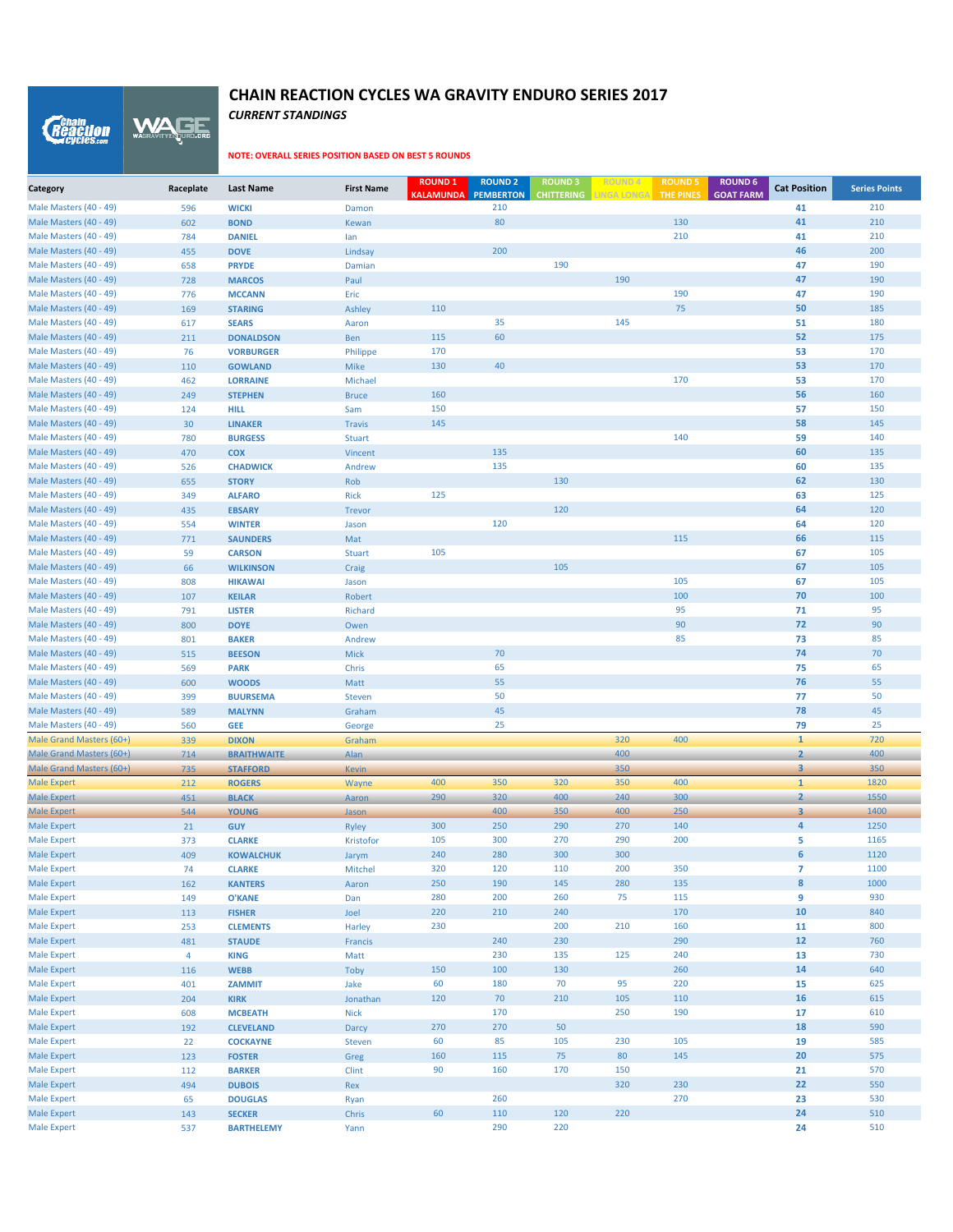*CURRENT STANDINGS*

WAGE

*Reaction* 

| Category                                         | Raceplate             | <b>Last Name</b>                  | <b>First Name</b>       | <b>ROUND 1</b><br><b>KALAMUNDA</b> PEMBERTON | <b>ROUND 2</b> | <b>ROUND3</b><br><b>CHITTERING</b> | <b>LINGA LONGA</b> | <b>ROUND 5</b><br><b>THE PINES</b> | <b>ROUND 6</b><br><b>GOAT FARM</b> | <b>Cat Position</b>     | <b>Series Points</b> |
|--------------------------------------------------|-----------------------|-----------------------------------|-------------------------|----------------------------------------------|----------------|------------------------------------|--------------------|------------------------------------|------------------------------------|-------------------------|----------------------|
| Male Masters (40 - 49)                           | 596                   | <b>WICKI</b>                      | Damon                   |                                              | 210            |                                    |                    |                                    |                                    | 41                      | 210                  |
| Male Masters (40 - 49)                           | 602                   | <b>BOND</b>                       | Kewan                   |                                              | 80             |                                    |                    | 130                                |                                    | 41                      | 210                  |
| Male Masters (40 - 49)                           | 784                   | <b>DANIEL</b>                     | lan                     |                                              |                |                                    |                    | 210                                |                                    | 41                      | 210                  |
| Male Masters (40 - 49)                           | 455                   | <b>DOVE</b>                       | Lindsay                 |                                              | 200            |                                    |                    |                                    |                                    | 46                      | 200                  |
| Male Masters (40 - 49)                           | 658                   | <b>PRYDE</b>                      | Damian                  |                                              |                | 190                                |                    |                                    |                                    | 47                      | 190                  |
| Male Masters (40 - 49)                           | 728                   | <b>MARCOS</b>                     | Paul                    |                                              |                |                                    | 190                |                                    |                                    | 47                      | 190                  |
| Male Masters (40 - 49)                           | 776                   | <b>MCCANN</b>                     | Eric                    |                                              |                |                                    |                    | 190                                |                                    | 47                      | 190                  |
| Male Masters (40 - 49)                           | 169                   | <b>STARING</b>                    | <b>Ashley</b>           | 110                                          |                |                                    |                    | 75                                 |                                    | 50                      | 185                  |
| Male Masters (40 - 49)                           | 617                   | <b>SEARS</b>                      | Aaron                   |                                              | 35             |                                    | 145                |                                    |                                    | 51                      | 180                  |
| Male Masters (40 - 49)                           | 211                   | <b>DONALDSON</b>                  | Ben                     | 115                                          | 60             |                                    |                    |                                    |                                    | 52                      | 175                  |
| Male Masters (40 - 49)                           | 76                    | <b>VORBURGER</b>                  | Philippe                | 170                                          |                |                                    |                    |                                    |                                    | 53                      | 170                  |
| Male Masters (40 - 49)<br>Male Masters (40 - 49) | 110                   | <b>GOWLAND</b>                    | <b>Mike</b>             | 130                                          | 40             |                                    |                    | 170                                |                                    | 53<br>53                | 170<br>170           |
| Male Masters (40 - 49)                           | 462<br>249            | <b>LORRAINE</b><br><b>STEPHEN</b> | Michael<br><b>Bruce</b> | 160                                          |                |                                    |                    |                                    |                                    | 56                      | 160                  |
| Male Masters (40 - 49)                           | 124                   | <b>HILL</b>                       | Sam                     | 150                                          |                |                                    |                    |                                    |                                    | 57                      | 150                  |
| Male Masters (40 - 49)                           | 30                    | <b>LINAKER</b>                    | <b>Travis</b>           | 145                                          |                |                                    |                    |                                    |                                    | 58                      | 145                  |
| Male Masters (40 - 49)                           | 780                   | <b>BURGESS</b>                    | <b>Stuart</b>           |                                              |                |                                    |                    | 140                                |                                    | 59                      | 140                  |
| Male Masters (40 - 49)                           | 470                   | <b>COX</b>                        | Vincent                 |                                              | 135            |                                    |                    |                                    |                                    | 60                      | 135                  |
| Male Masters (40 - 49)                           | 526                   | <b>CHADWICK</b>                   | Andrew                  |                                              | 135            |                                    |                    |                                    |                                    | 60                      | 135                  |
| Male Masters (40 - 49)                           | 655                   | <b>STORY</b>                      | Rob                     |                                              |                | 130                                |                    |                                    |                                    | 62                      | 130                  |
| Male Masters (40 - 49)                           | 349                   | <b>ALFARO</b>                     | <b>Rick</b>             | 125                                          |                |                                    |                    |                                    |                                    | 63                      | 125                  |
| Male Masters (40 - 49)                           | 435                   | <b>EBSARY</b>                     | Trevor                  |                                              |                | 120                                |                    |                                    |                                    | 64                      | 120                  |
| Male Masters (40 - 49)                           | 554                   | <b>WINTER</b>                     | Jason                   |                                              | 120            |                                    |                    |                                    |                                    | 64                      | 120                  |
| Male Masters (40 - 49)                           | 771                   | <b>SAUNDERS</b>                   | Mat                     |                                              |                |                                    |                    | 115                                |                                    | 66                      | 115                  |
| Male Masters (40 - 49)                           | 59                    | <b>CARSON</b>                     | <b>Stuart</b>           | 105                                          |                |                                    |                    |                                    |                                    | 67                      | 105                  |
| Male Masters (40 - 49)                           | 66                    | <b>WILKINSON</b>                  | Craig                   |                                              |                | 105                                |                    |                                    |                                    | 67                      | 105                  |
| Male Masters (40 - 49)                           | 808                   | <b>HIKAWAI</b>                    | Jason                   |                                              |                |                                    |                    | 105                                |                                    | 67                      | 105                  |
| Male Masters (40 - 49)                           | 107                   | <b>KEILAR</b>                     | Robert                  |                                              |                |                                    |                    | 100                                |                                    | 70                      | 100                  |
| Male Masters (40 - 49)                           | 791                   | <b>LISTER</b>                     | Richard                 |                                              |                |                                    |                    | 95                                 |                                    | 71                      | 95                   |
| Male Masters (40 - 49)                           | 800                   | <b>DOYE</b>                       | Owen                    |                                              |                |                                    |                    | 90                                 |                                    | 72                      | 90                   |
| Male Masters (40 - 49)                           | 801                   | <b>BAKER</b>                      | Andrew                  |                                              |                |                                    |                    | 85                                 |                                    | 73                      | 85                   |
| Male Masters (40 - 49)                           | 515                   | <b>BEESON</b>                     | <b>Mick</b>             |                                              | 70             |                                    |                    |                                    |                                    | 74                      | 70                   |
| Male Masters (40 - 49)                           | 569                   | <b>PARK</b>                       | Chris                   |                                              | 65<br>55       |                                    |                    |                                    |                                    | 75<br>76                | 65<br>55             |
| Male Masters (40 - 49)<br>Male Masters (40 - 49) | 600<br>399            | <b>WOODS</b><br><b>BUURSEMA</b>   | Matt<br><b>Steven</b>   |                                              | 50             |                                    |                    |                                    |                                    | 77                      | 50                   |
| Male Masters (40 - 49)                           | 589                   | <b>MALYNN</b>                     | Graham                  |                                              | 45             |                                    |                    |                                    |                                    | 78                      | 45                   |
| Male Masters (40 - 49)                           | 560                   | <b>GEE</b>                        | George                  |                                              | 25             |                                    |                    |                                    |                                    | 79                      | 25                   |
| Male Grand Masters (60+)                         | 339                   | <b>DIXON</b>                      | Graham                  |                                              |                |                                    | 320                | 400                                |                                    | $\mathbf{1}$            | 720                  |
| Male Grand Masters (60+)                         | 714                   | <b>BRAITHWAITE</b>                | Alan                    |                                              |                |                                    | 400                |                                    |                                    | $\overline{2}$          | 400                  |
| Male Grand Masters (60+)                         | 735                   | <b>STAFFORD</b>                   | <b>Kevin</b>            |                                              |                |                                    | 350                |                                    |                                    | 3                       | 350                  |
| <b>Male Expert</b>                               | 212                   | <b>ROGERS</b>                     | Wayne                   | 400                                          | 350            | 320                                | 350                | 400                                |                                    | $\mathbf{1}$            | 1820                 |
| <b>Male Expert</b>                               | 451                   | <b>BLACK</b>                      | Aaron                   | 290                                          | 320            | 400                                | 240                | 300                                |                                    | $\overline{2}$          | 1550                 |
| <b>Male Expert</b>                               | 544                   | <b>YOUNG</b>                      | Jason                   |                                              | 400            | 350                                | 400                | 250                                |                                    | $\overline{\mathbf{3}}$ | 1400                 |
| <b>Male Expert</b>                               | 21                    | <b>GUY</b>                        | <b>Ryley</b>            | 300                                          | 250            | 290                                | 270                | 140                                |                                    | $\overline{a}$          | 1250                 |
| <b>Male Expert</b>                               | 373                   | <b>CLARKE</b>                     | Kristofor               | 105                                          | 300            | 270                                | 290                | 200                                |                                    | 5                       | 1165                 |
| <b>Male Expert</b>                               | 409                   | <b>KOWALCHUK</b>                  | Jarym                   | 240                                          | 280            | 300                                | 300                |                                    |                                    | 6                       | 1120                 |
| <b>Male Expert</b>                               | 74                    | <b>CLARKE</b>                     | Mitchel                 | 320                                          | 120            | 110                                | 200                | 350                                |                                    | $\overline{7}$          | 1100                 |
| <b>Male Expert</b>                               | 162                   | <b>KANTERS</b>                    | Aaron                   | 250                                          | 190            | 145                                | 280                | 135                                |                                    | $\pmb{8}$               | 1000                 |
| <b>Male Expert</b>                               | 149                   | <b>O'KANE</b>                     | Dan                     | 280                                          | 200            | 260                                | 75                 | 115                                |                                    | 9                       | 930                  |
| <b>Male Expert</b>                               | 113                   | <b>FISHER</b>                     | Joel                    | 220                                          | 210            | 240                                |                    | 170                                |                                    | 10                      | 840                  |
| <b>Male Expert</b>                               | 253                   | <b>CLEMENTS</b>                   | Harley                  | 230                                          |                | 200                                | 210                | 160                                |                                    | 11                      | 800                  |
| <b>Male Expert</b><br><b>Male Expert</b>         | 481<br>$\overline{4}$ | <b>STAUDE</b>                     | Francis                 |                                              | 240<br>230     | 230<br>135                         | 125                | 290<br>240                         |                                    | 12<br>13                | 760<br>730           |
| <b>Male Expert</b>                               | 116                   | <b>KING</b><br><b>WEBB</b>        | Matt<br>Toby            | 150                                          | 100            | 130                                |                    | 260                                |                                    | 14                      | 640                  |
| <b>Male Expert</b>                               | 401                   | ZAMMIT                            | Jake                    | 60                                           | 180            | 70                                 | 95                 | 220                                |                                    | 15                      | 625                  |
| <b>Male Expert</b>                               | 204                   | <b>KIRK</b>                       | Jonathan                | 120                                          | $70\,$         | 210                                | 105                | 110                                |                                    | 16                      | 615                  |
| <b>Male Expert</b>                               | 608                   | <b>MCBEATH</b>                    | <b>Nick</b>             |                                              | 170            |                                    | 250                | 190                                |                                    | 17                      | 610                  |
| <b>Male Expert</b>                               | 192                   | <b>CLEVELAND</b>                  | Darcy                   | 270                                          | 270            | 50                                 |                    |                                    |                                    | 18                      | 590                  |
| <b>Male Expert</b>                               | 22                    | <b>COCKAYNE</b>                   | Steven                  | 60                                           | 85             | 105                                | 230                | 105                                |                                    | 19                      | 585                  |
| <b>Male Expert</b>                               | 123                   | <b>FOSTER</b>                     | Greg                    | 160                                          | 115            | 75                                 | 80                 | 145                                |                                    | 20                      | 575                  |
| <b>Male Expert</b>                               | 112                   | <b>BARKER</b>                     | <b>Clint</b>            | 90                                           | 160            | 170                                | 150                |                                    |                                    | 21                      | 570                  |
| <b>Male Expert</b>                               | 494                   | <b>DUBOIS</b>                     | Rex                     |                                              |                |                                    | 320                | 230                                |                                    | 22                      | 550                  |
| <b>Male Expert</b>                               | 65                    | <b>DOUGLAS</b>                    | Ryan                    |                                              | 260            |                                    |                    | 270                                |                                    | 23                      | 530                  |
| <b>Male Expert</b>                               | 143                   | <b>SECKER</b>                     | Chris                   | 60                                           | 110            | 120                                | 220                |                                    |                                    | 24                      | 510                  |
| <b>Male Expert</b>                               | 537                   | <b>BARTHELEMY</b>                 | Yann                    |                                              | 290            | 220                                |                    |                                    |                                    | 24                      | 510                  |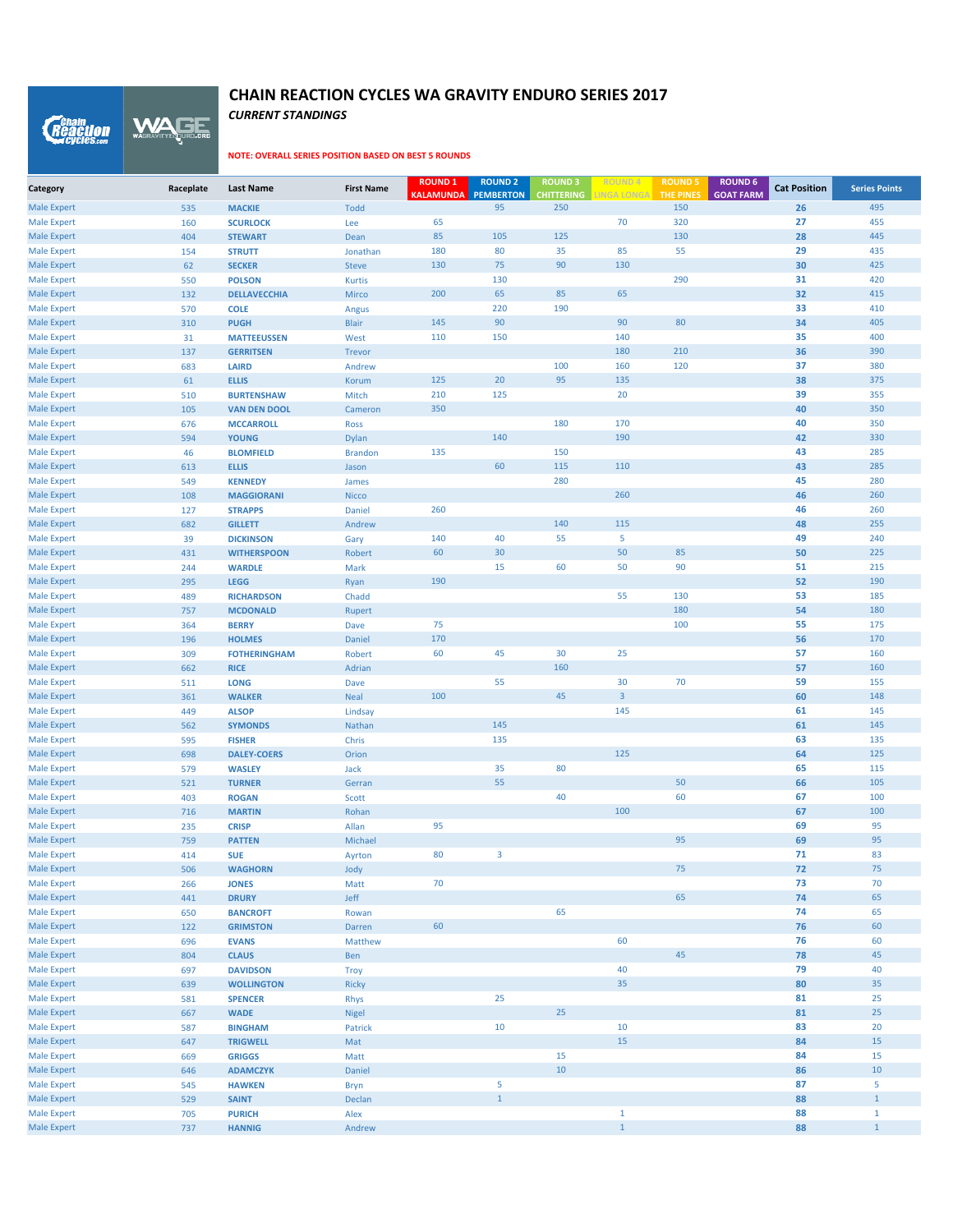WAGE *Reaction* 

#### **NOTE: OVERALL SERIES POSITION BASED ON BEST 5 ROUNDS**

*CURRENT STANDINGS*

| Category                                 | Raceplate  | <b>Last Name</b>                    | <b>First Name</b> | <b>ROUND 1</b><br><b>KALAMUNDA</b> | <b>ROUND 2</b><br>PEMBERTON | <b>ROUND 3</b><br><b>CHITTERING</b> | <b>ROUND4</b><br><b>LINGA LONGA</b> | <b>ROUND 5</b><br><b>THE PINES</b> | <b>ROUND 6</b><br><b>GOAT FARM</b> | <b>Cat Position</b> | <b>Series Points</b> |
|------------------------------------------|------------|-------------------------------------|-------------------|------------------------------------|-----------------------------|-------------------------------------|-------------------------------------|------------------------------------|------------------------------------|---------------------|----------------------|
| <b>Male Expert</b>                       | 535        | <b>MACKIE</b>                       | <b>Todd</b>       |                                    | 95                          | 250                                 |                                     | 150                                |                                    | 26                  | 495                  |
| <b>Male Expert</b>                       | 160        | <b>SCURLOCK</b>                     | Lee               | 65                                 |                             |                                     | 70                                  | 320                                |                                    | 27                  | 455                  |
| <b>Male Expert</b>                       | 404        | <b>STEWART</b>                      | Dean              | 85                                 | 105                         | 125                                 |                                     | 130                                |                                    | 28                  | 445                  |
| <b>Male Expert</b>                       | 154        | <b>STRUTT</b>                       | Jonathan          | 180                                | 80                          | 35                                  | 85                                  | 55                                 |                                    | 29                  | 435                  |
| <b>Male Expert</b>                       | 62         | <b>SECKER</b>                       | <b>Steve</b>      | 130                                | 75                          | 90                                  | 130                                 |                                    |                                    | 30                  | 425                  |
| <b>Male Expert</b>                       | 550        | <b>POLSON</b>                       | <b>Kurtis</b>     |                                    | 130                         |                                     |                                     | 290                                |                                    | 31                  | 420                  |
| <b>Male Expert</b>                       | 132        | <b>DELLAVECCHIA</b>                 | Mirco             | 200                                | 65                          | 85                                  | 65                                  |                                    |                                    | 32                  | 415                  |
| <b>Male Expert</b>                       | 570        | <b>COLE</b>                         | Angus             |                                    | 220                         | 190                                 |                                     |                                    |                                    | 33                  | 410                  |
| <b>Male Expert</b>                       | 310        | <b>PUGH</b>                         | <b>Blair</b>      | 145                                | 90                          |                                     | 90                                  | 80                                 |                                    | 34                  | 405                  |
| <b>Male Expert</b>                       | 31         | <b>MATTEEUSSEN</b>                  | West              | 110                                | 150                         |                                     | 140                                 |                                    |                                    | 35                  | 400                  |
| <b>Male Expert</b>                       | 137        | <b>GERRITSEN</b>                    | Trevor            |                                    |                             |                                     | 180                                 | 210                                |                                    | 36                  | 390                  |
| <b>Male Expert</b>                       | 683        | <b>LAIRD</b>                        | Andrew            |                                    |                             | 100                                 | 160                                 | 120                                |                                    | 37                  | 380                  |
| <b>Male Expert</b>                       | 61         | <b>ELLIS</b>                        | Korum             | 125                                | 20                          | 95                                  | 135                                 |                                    |                                    | 38                  | 375                  |
| <b>Male Expert</b>                       | 510        | <b>BURTENSHAW</b>                   | Mitch             | 210                                | 125                         |                                     | 20                                  |                                    |                                    | 39                  | 355                  |
| <b>Male Expert</b>                       | 105        | <b>VAN DEN DOOL</b>                 | Cameron           | 350                                |                             |                                     |                                     |                                    |                                    | 40                  | 350                  |
| <b>Male Expert</b>                       | 676        | <b>MCCARROLL</b>                    | <b>Ross</b>       |                                    |                             | 180                                 | 170                                 |                                    |                                    | 40                  | 350                  |
| <b>Male Expert</b>                       | 594        | <b>YOUNG</b>                        | Dylan             |                                    | 140                         |                                     | 190                                 |                                    |                                    | 42                  | 330                  |
| <b>Male Expert</b>                       | 46         | <b>BLOMFIELD</b>                    | <b>Brandon</b>    | 135                                |                             | 150                                 |                                     |                                    |                                    | 43                  | 285                  |
| <b>Male Expert</b>                       | 613        | <b>ELLIS</b>                        | Jason             |                                    | 60                          | 115                                 | 110                                 |                                    |                                    | 43                  | 285                  |
| <b>Male Expert</b>                       | 549        | <b>KENNEDY</b>                      | James             |                                    |                             | 280                                 |                                     |                                    |                                    | 45                  | 280                  |
| <b>Male Expert</b>                       | 108        | <b>MAGGIORANI</b>                   | <b>Nicco</b>      |                                    |                             |                                     | 260                                 |                                    |                                    | 46                  | 260                  |
| <b>Male Expert</b>                       | 127        | <b>STRAPPS</b>                      | Daniel            | 260                                |                             |                                     |                                     |                                    |                                    | 46                  | 260                  |
| <b>Male Expert</b>                       | 682        | <b>GILLETT</b>                      | Andrew            |                                    |                             | 140                                 | 115                                 |                                    |                                    | 48                  | 255                  |
| <b>Male Expert</b>                       | 39         | <b>DICKINSON</b>                    | Gary              | 140                                | 40                          | 55                                  | 5                                   |                                    |                                    | 49                  | 240                  |
| <b>Male Expert</b>                       | 431        | <b>WITHERSPOON</b>                  | Robert            | 60                                 | 30                          |                                     | 50                                  | 85                                 |                                    | 50                  | 225                  |
| <b>Male Expert</b>                       | 244        | <b>WARDLE</b>                       | Mark              |                                    | 15                          | 60                                  | 50                                  | 90                                 |                                    | 51                  | 215                  |
| <b>Male Expert</b>                       | 295        | <b>LEGG</b>                         | Ryan              | 190                                |                             |                                     |                                     |                                    |                                    | 52                  | 190                  |
| <b>Male Expert</b>                       | 489        | <b>RICHARDSON</b>                   | Chadd             |                                    |                             |                                     | 55                                  | 130                                |                                    | 53                  | 185                  |
| <b>Male Expert</b>                       | 757        | <b>MCDONALD</b>                     | Rupert            |                                    |                             |                                     |                                     | 180                                |                                    | 54                  | 180                  |
| <b>Male Expert</b>                       | 364        | <b>BERRY</b>                        | Dave              | 75                                 |                             |                                     |                                     | 100                                |                                    | 55                  | 175                  |
| <b>Male Expert</b>                       | 196        | <b>HOLMES</b>                       | Daniel            | 170                                |                             |                                     |                                     |                                    |                                    | 56                  | 170                  |
| <b>Male Expert</b>                       | 309        | <b>FOTHERINGHAM</b>                 | Robert            | 60                                 | 45                          | 30                                  | 25                                  |                                    |                                    | 57                  | 160                  |
| <b>Male Expert</b>                       | 662        | <b>RICE</b>                         | Adrian            |                                    |                             | 160                                 |                                     |                                    |                                    | 57                  | 160                  |
| <b>Male Expert</b>                       | 511        | <b>LONG</b>                         | Dave              |                                    | 55                          |                                     | 30                                  | 70                                 |                                    | 59                  | 155                  |
| <b>Male Expert</b>                       | 361        | <b>WALKER</b>                       | <b>Neal</b>       | 100                                |                             | 45                                  | $\overline{3}$                      |                                    |                                    | 60                  | 148                  |
| <b>Male Expert</b>                       | 449        | <b>ALSOP</b>                        | Lindsay           |                                    | 145                         |                                     | 145                                 |                                    |                                    | 61                  | 145                  |
| <b>Male Expert</b>                       | 562        | <b>SYMONDS</b>                      | Nathan            |                                    |                             |                                     |                                     |                                    |                                    | 61                  | 145                  |
| <b>Male Expert</b>                       | 595        | <b>FISHER</b><br><b>DALEY-COERS</b> | Chris             |                                    | 135                         |                                     | 125                                 |                                    |                                    | 63<br>64            | 135<br>125           |
| <b>Male Expert</b><br><b>Male Expert</b> | 698<br>579 | <b>WASLEY</b>                       | Orion             |                                    | 35                          | 80                                  |                                     |                                    |                                    | 65                  | 115                  |
| <b>Male Expert</b>                       | 521        | <b>TURNER</b>                       | Jack<br>Gerran    |                                    | 55                          |                                     |                                     | 50                                 |                                    | 66                  | 105                  |
| <b>Male Expert</b>                       | 403        | <b>ROGAN</b>                        | Scott             |                                    |                             | 40                                  |                                     | 60                                 |                                    | 67                  | 100                  |
| <b>Male Expert</b>                       | 716        | <b>MARTIN</b>                       | Rohan             |                                    |                             |                                     | 100                                 |                                    |                                    | 67                  | 100                  |
| <b>Male Expert</b>                       | 235        | <b>CRISP</b>                        | Allan             | 95                                 |                             |                                     |                                     |                                    |                                    | 69                  | 95                   |
| <b>Male Expert</b>                       | 759        | <b>PATTEN</b>                       | Michael           |                                    |                             |                                     |                                     | 95                                 |                                    | 69                  | 95                   |
| <b>Male Expert</b>                       | 414        | <b>SUE</b>                          | Ayrton            | 80                                 | $\overline{3}$              |                                     |                                     |                                    |                                    | 71                  | 83                   |
| <b>Male Expert</b>                       | 506        | <b>WAGHORN</b>                      | Jody              |                                    |                             |                                     |                                     | 75                                 |                                    | 72                  | 75                   |
| <b>Male Expert</b>                       | 266        | <b>JONES</b>                        | Matt              | 70                                 |                             |                                     |                                     |                                    |                                    | 73                  | 70                   |
| <b>Male Expert</b>                       | 441        | <b>DRURY</b>                        | Jeff              |                                    |                             |                                     |                                     | 65                                 |                                    | 74                  | 65                   |
| <b>Male Expert</b>                       | 650        | <b>BANCROFT</b>                     | Rowan             |                                    |                             | 65                                  |                                     |                                    |                                    | 74                  | 65                   |
| <b>Male Expert</b>                       | 122        | <b>GRIMSTON</b>                     | Darren            | 60                                 |                             |                                     |                                     |                                    |                                    | 76                  | 60                   |
| <b>Male Expert</b>                       | 696        | <b>EVANS</b>                        | Matthew           |                                    |                             |                                     | 60                                  |                                    |                                    | 76                  | 60                   |
| <b>Male Expert</b>                       | 804        | <b>CLAUS</b>                        | Ben               |                                    |                             |                                     |                                     | 45                                 |                                    | 78                  | 45                   |
| <b>Male Expert</b>                       | 697        | <b>DAVIDSON</b>                     | Troy              |                                    |                             |                                     | 40                                  |                                    |                                    | 79                  | 40                   |
| <b>Male Expert</b>                       | 639        | <b>WOLLINGTON</b>                   | <b>Ricky</b>      |                                    |                             |                                     | 35                                  |                                    |                                    | 80                  | 35                   |
| <b>Male Expert</b>                       | 581        | <b>SPENCER</b>                      | Rhys              |                                    | 25                          |                                     |                                     |                                    |                                    | 81                  | 25                   |
| <b>Male Expert</b>                       | 667        | <b>WADE</b>                         | Nigel             |                                    |                             | 25                                  |                                     |                                    |                                    | 81                  | 25                   |
| <b>Male Expert</b>                       | 587        | <b>BINGHAM</b>                      | Patrick           |                                    | 10                          |                                     | 10                                  |                                    |                                    | 83                  | 20                   |
| <b>Male Expert</b>                       | 647        | <b>TRIGWELL</b>                     | Mat               |                                    |                             |                                     | 15                                  |                                    |                                    | 84                  | 15                   |
| <b>Male Expert</b>                       | 669        | <b>GRIGGS</b>                       | Matt              |                                    |                             | 15                                  |                                     |                                    |                                    | 84                  | 15                   |
| <b>Male Expert</b>                       | 646        | <b>ADAMCZYK</b>                     | Daniel            |                                    |                             | 10                                  |                                     |                                    |                                    | 86                  | 10                   |
| <b>Male Expert</b>                       | 545        | <b>HAWKEN</b>                       | <b>Bryn</b>       |                                    | 5                           |                                     |                                     |                                    |                                    | 87                  | 5                    |
| <b>Male Expert</b>                       | 529        | <b>SAINT</b>                        | Declan            |                                    | $\mathbf{1}$                |                                     |                                     |                                    |                                    | 88                  | $\mathbf{1}$         |
| <b>Male Expert</b>                       | 705        | <b>PURICH</b>                       | Alex              |                                    |                             |                                     | $\mathbf 1$                         |                                    |                                    | 88                  | $\mathbf{1}$         |
| <b>Male Expert</b>                       | 737        | <b>HANNIG</b>                       | Andrew            |                                    |                             |                                     | $\mathbf 1$                         |                                    |                                    | 88                  | $1\,$                |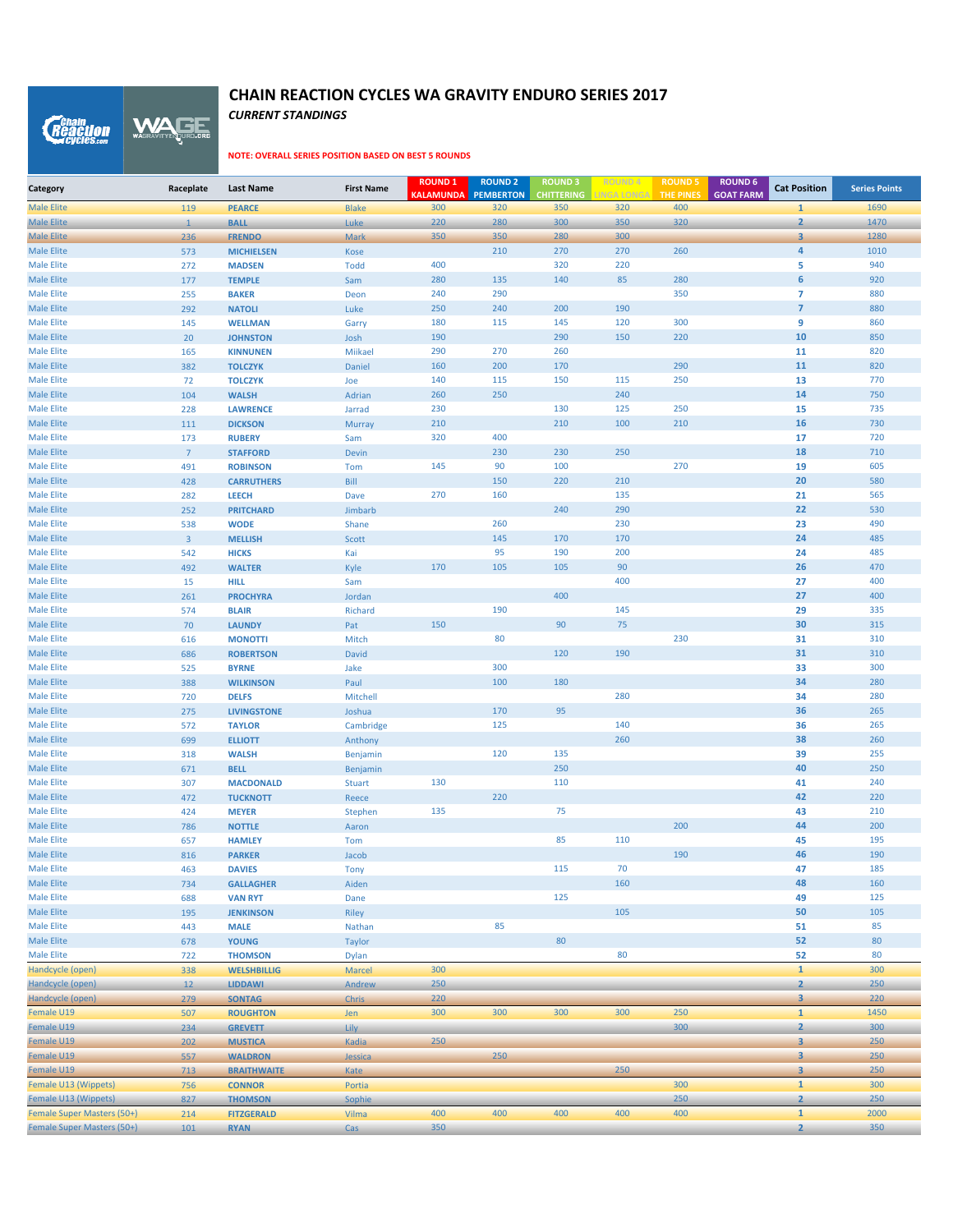WAGE *Reaction* 

#### **NOTE: OVERALL SERIES POSITION BASED ON BEST 5 ROUNDS**

*CURRENT STANDINGS*

| Category                               | Raceplate      | <b>Last Name</b>                 | <b>First Name</b> | <b>ROUND 1</b><br><b>KALAMUNDA</b> | <b>ROUND 2</b><br><b>PEMBERTON</b> | <b>ROUND 3</b><br><b>CHITTERING</b> | ROUND 4<br><b>INGA LONGA</b> | <b>ROUND!</b><br>THE PINES | <b>ROUND 6</b><br><b>GOAT FARM</b> | <b>Cat Position</b>     | <b>Series Points</b> |
|----------------------------------------|----------------|----------------------------------|-------------------|------------------------------------|------------------------------------|-------------------------------------|------------------------------|----------------------------|------------------------------------|-------------------------|----------------------|
| <b>Male Elite</b>                      | 119            | <b>PEARCE</b>                    | <b>Blake</b>      | 300                                | 320                                | 350                                 | 320                          | 400                        |                                    | $\mathbf{1}$            | 1690                 |
| <b>Male Elite</b>                      | $\mathbf{1}$   | <b>BALL</b>                      | Luke              | 220                                | 280                                | 300                                 | 350                          | 320                        |                                    | $\overline{2}$          | 1470                 |
| <b>Male Elite</b>                      | 236            | <b>FRENDO</b>                    | <b>Mark</b>       | 350                                | 350                                | 280                                 | 300                          |                            |                                    | $\overline{3}$          | 1280                 |
| <b>Male Elite</b>                      | 573            | <b>MICHIELSEN</b>                | Kose              |                                    | 210                                | 270                                 | 270                          | 260                        |                                    | $\overline{4}$          | 1010                 |
| <b>Male Elite</b>                      | 272            | <b>MADSEN</b>                    | <b>Todd</b>       | 400                                |                                    | 320                                 | 220                          |                            |                                    | 5                       | 940                  |
| <b>Male Elite</b>                      | 177            | <b>TEMPLE</b>                    | Sam               | 280                                | 135                                | 140                                 | 85                           | 280                        |                                    | 6                       | 920                  |
| <b>Male Elite</b>                      | 255            | <b>BAKER</b>                     | Deon              | 240                                | 290                                |                                     |                              | 350                        |                                    | $\overline{7}$          | 880                  |
| <b>Male Elite</b>                      | 292            | <b>NATOLI</b>                    | Luke              | 250                                | 240                                | 200                                 | 190                          |                            |                                    | $\overline{7}$          | 880                  |
| <b>Male Elite</b>                      | 145            | <b>WELLMAN</b>                   | Garry             | 180                                | 115                                | 145                                 | 120                          | 300                        |                                    | 9                       | 860                  |
| <b>Male Elite</b>                      | 20             | <b>JOHNSTON</b>                  | Josh              | 190                                |                                    | 290                                 | 150                          | 220                        |                                    | 10                      | 850                  |
| <b>Male Elite</b>                      | 165            | <b>KINNUNEN</b>                  | Miikael           | 290                                | 270                                | 260                                 |                              |                            |                                    | 11                      | 820                  |
| <b>Male Elite</b><br><b>Male Elite</b> | 382            | <b>TOLCZYK</b>                   | Daniel            | 160<br>140                         | 200                                | 170                                 | 115                          | 290                        |                                    | 11                      | 820<br>770           |
| <b>Male Elite</b>                      | 72<br>104      | <b>TOLCZYK</b><br><b>WALSH</b>   | Joe<br>Adrian     | 260                                | 115<br>250                         | 150                                 | 240                          | 250                        |                                    | 13<br>14                | 750                  |
| <b>Male Elite</b>                      | 228            | <b>LAWRENCE</b>                  | Jarrad            | 230                                |                                    | 130                                 | 125                          | 250                        |                                    | 15                      | 735                  |
| <b>Male Elite</b>                      | 111            | <b>DICKSON</b>                   | Murray            | 210                                |                                    | 210                                 | 100                          | 210                        |                                    | 16                      | 730                  |
| <b>Male Elite</b>                      | 173            | <b>RUBERY</b>                    | Sam               | 320                                | 400                                |                                     |                              |                            |                                    | 17                      | 720                  |
| <b>Male Elite</b>                      | $\overline{7}$ | <b>STAFFORD</b>                  | Devin             |                                    | 230                                | 230                                 | 250                          |                            |                                    | 18                      | 710                  |
| <b>Male Elite</b>                      | 491            | <b>ROBINSON</b>                  | Tom               | 145                                | 90                                 | 100                                 |                              | 270                        |                                    | 19                      | 605                  |
| <b>Male Elite</b>                      | 428            | <b>CARRUTHERS</b>                | Bill              |                                    | 150                                | 220                                 | 210                          |                            |                                    | 20                      | 580                  |
| <b>Male Elite</b>                      | 282            | <b>LEECH</b>                     | Dave              | 270                                | 160                                |                                     | 135                          |                            |                                    | 21                      | 565                  |
| <b>Male Elite</b>                      | 252            | <b>PRITCHARD</b>                 | Jimbarb           |                                    |                                    | 240                                 | 290                          |                            |                                    | 22                      | 530                  |
| <b>Male Elite</b>                      | 538            | <b>WODE</b>                      | Shane             |                                    | 260                                |                                     | 230                          |                            |                                    | 23                      | 490                  |
| <b>Male Elite</b>                      | $\overline{3}$ | <b>MELLISH</b>                   | Scott             |                                    | 145                                | 170                                 | 170                          |                            |                                    | 24                      | 485                  |
| <b>Male Elite</b>                      | 542            | <b>HICKS</b>                     | Kai               |                                    | 95                                 | 190                                 | 200                          |                            |                                    | 24                      | 485                  |
| <b>Male Elite</b>                      | 492            | <b>WALTER</b>                    | Kyle              | 170                                | 105                                | 105                                 | 90                           |                            |                                    | 26                      | 470                  |
| <b>Male Elite</b>                      | 15             | <b>HILL</b>                      | Sam               |                                    |                                    |                                     | 400                          |                            |                                    | 27                      | 400                  |
| <b>Male Elite</b>                      | 261            | <b>PROCHYRA</b>                  | Jordan            |                                    |                                    | 400                                 |                              |                            |                                    | 27                      | 400                  |
| <b>Male Elite</b>                      | 574            | <b>BLAIR</b>                     | Richard           |                                    | 190                                |                                     | 145                          |                            |                                    | 29                      | 335                  |
| <b>Male Elite</b>                      | 70             | <b>LAUNDY</b>                    | Pat               | 150                                |                                    | 90                                  | 75                           |                            |                                    | 30                      | 315                  |
| <b>Male Elite</b>                      | 616            | <b>MONOTTI</b>                   | Mitch             |                                    | 80                                 | 120                                 | 190                          | 230                        |                                    | 31                      | 310                  |
| <b>Male Elite</b><br><b>Male Elite</b> | 686            | <b>ROBERTSON</b><br><b>BYRNE</b> | David             |                                    | 300                                |                                     |                              |                            |                                    | 31                      | 310<br>300           |
| <b>Male Elite</b>                      | 525<br>388     | <b>WILKINSON</b>                 | Jake<br>Paul      |                                    | 100                                | 180                                 |                              |                            |                                    | 33<br>34                | 280                  |
| <b>Male Elite</b>                      | 720            | <b>DELFS</b>                     | Mitchell          |                                    |                                    |                                     | 280                          |                            |                                    | 34                      | 280                  |
| <b>Male Elite</b>                      | 275            | <b>LIVINGSTONE</b>               | Joshua            |                                    | 170                                | 95                                  |                              |                            |                                    | 36                      | 265                  |
| <b>Male Elite</b>                      | 572            | <b>TAYLOR</b>                    | Cambridge         |                                    | 125                                |                                     | 140                          |                            |                                    | 36                      | 265                  |
| <b>Male Elite</b>                      | 699            | <b>ELLIOTT</b>                   | Anthony           |                                    |                                    |                                     | 260                          |                            |                                    | 38                      | 260                  |
| <b>Male Elite</b>                      | 318            | <b>WALSH</b>                     | Benjamin          |                                    | 120                                | 135                                 |                              |                            |                                    | 39                      | 255                  |
| <b>Male Elite</b>                      | 671            | <b>BELL</b>                      | Benjamin          |                                    |                                    | 250                                 |                              |                            |                                    | 40                      | 250                  |
| <b>Male Elite</b>                      | 307            | <b>MACDONALD</b>                 | <b>Stuart</b>     | 130                                |                                    | 110                                 |                              |                            |                                    | 41                      | 240                  |
| <b>Male Elite</b>                      | 472            | <b>TUCKNOTT</b>                  | Reece             |                                    | 220                                |                                     |                              |                            |                                    | 42                      | 220                  |
| <b>Male Elite</b>                      | 424            | <b>MEYER</b>                     | Stephen           | 135                                |                                    | 75                                  |                              |                            |                                    | 43                      | 210                  |
| <b>Male Elite</b>                      | 786            | <b>NOTTLE</b>                    | Aaron             |                                    |                                    |                                     |                              | 200                        |                                    | 44                      | 200                  |
| <b>Male Elite</b>                      | 657            | <b>HAMLEY</b>                    | Tom               |                                    |                                    | 85                                  | 110                          |                            |                                    | 45                      | 195                  |
| <b>Male Elite</b>                      | 816            | <b>PARKER</b>                    | Jacob             |                                    |                                    |                                     |                              | 190                        |                                    | 46                      | 190                  |
| <b>Male Elite</b>                      | 463            | <b>DAVIES</b>                    | <b>Tony</b>       |                                    |                                    | 115                                 | 70                           |                            |                                    | 47                      | 185                  |
| Male Elite                             | 734            | <b>GALLAGHER</b>                 | Aiden             |                                    |                                    |                                     | 160                          |                            |                                    | 48                      | 160                  |
| <b>Male Elite</b><br>Male Elite        | 688            | <b>VAN RYT</b>                   | Dane              |                                    |                                    | 125                                 |                              |                            |                                    | 49                      | 125                  |
| <b>Male Elite</b>                      | 195            | <b>JENKINSON</b>                 | Riley             |                                    | 85                                 |                                     | 105                          |                            |                                    | 50<br>51                | 105<br>85            |
| Male Elite                             | 443<br>678     | <b>MALE</b><br><b>YOUNG</b>      | Nathan<br>Taylor  |                                    |                                    | 80                                  |                              |                            |                                    | 52                      | 80                   |
| <b>Male Elite</b>                      | 722            | <b>THOMSON</b>                   | <b>Dylan</b>      |                                    |                                    |                                     | 80                           |                            |                                    | 52                      | 80                   |
| Handcycle (open)                       | 338            | <b>WELSHBILLIG</b>               | Marcel            | 300                                |                                    |                                     |                              |                            |                                    | $\mathbf{1}$            | 300                  |
| Handcycle (open)                       | 12             | <b>LIDDAWI</b>                   | Andrew            | 250                                |                                    |                                     |                              |                            |                                    | $\overline{2}$          | 250                  |
| Handcycle (open)                       | 279            | <b>SONTAG</b>                    | Chris             | 220                                |                                    |                                     |                              |                            |                                    | $\overline{\mathbf{3}}$ | 220                  |
| Female U19                             | 507            | <b>ROUGHTON</b>                  | Jen               | 300                                | 300                                | 300                                 | 300                          | 250                        |                                    | $\mathbf{1}$            | 1450                 |
| Female U19                             | 234            | <b>GREVETT</b>                   | Lily              |                                    |                                    |                                     |                              | 300                        |                                    | $\overline{2}$          | 300                  |
| Female U19                             | 202            | <b>MUSTICA</b>                   | Kadia             | 250                                |                                    |                                     |                              |                            |                                    | $\overline{\mathbf{3}}$ | 250                  |
| Female U19                             | 557            | <b>WALDRON</b>                   | Jessica           |                                    | 250                                |                                     |                              |                            |                                    | 3                       | 250                  |
| Female U19                             | 713            | <b>BRAITHWAITE</b>               | Kate              |                                    |                                    |                                     | 250                          |                            |                                    | $\mathbf{3}$            | 250                  |
| Female U13 (Wippets)                   | 756            | <b>CONNOR</b>                    | Portia            |                                    |                                    |                                     |                              | 300                        |                                    | $\mathbf{1}$            | 300                  |
| Female U13 (Wippets)                   | 827            | <b>THOMSON</b>                   | Sophie            |                                    |                                    |                                     |                              | 250                        |                                    | $\mathbf{2}$            | 250                  |
| Female Super Masters (50+)             | 214            | <b>FITZGERALD</b>                | Vilma             | 400                                | 400                                | 400                                 | 400                          | 400                        |                                    | $\mathbf{1}$            | 2000                 |
| Female Super Masters (50+)             | 101            | <b>RYAN</b>                      | Cas               | 350                                |                                    |                                     |                              |                            |                                    | $\overline{2}$          | 350                  |